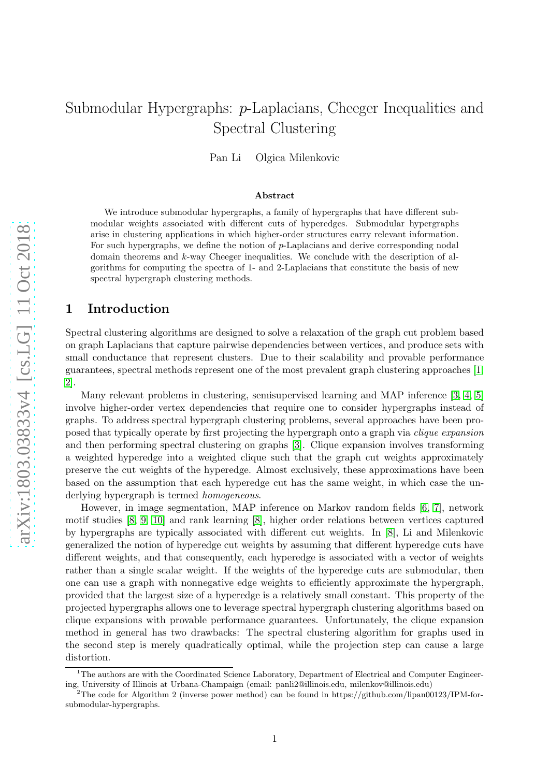# Submodular Hypergraphs: p-Laplacians, Cheeger Inequalities and Spectral Clustering Pan Li Olgica Milenkovic

#### Abstract

We introduce submodular hypergraphs, a family of hypergraphs that have different submodular weights associated with different cuts of hyperedges. Submodular hypergraphs arise in clustering applications in which higher-order structures carry relevant information. For such hypergraphs, we define the notion of p-Laplacians and derive corresponding nodal domain theorems and k-way Cheeger inequalities. We conclude with the description of algorithms for computing the spectra of 1- and 2-Laplacians that constitute the basis of new spectral hypergraph clustering methods.

## 1 Introduction

Spectral clustering algorithms are designed to solve a relaxation of the graph cut problem based on graph Laplacians that capture pairwise dependencies between vertices, and produce sets with small conductance that represent clusters. Due to their scalability and provable performance guarantees, spectral methods represent one of the most prevalent graph clustering approaches [\[1,](#page-13-0) [2\]](#page-13-1).

Many relevant problems in clustering, semisupervised learning and MAP inference [\[3,](#page-13-2) [4,](#page-13-3) [5\]](#page-13-4) involve higher-order vertex dependencies that require one to consider hypergraphs instead of graphs. To address spectral hypergraph clustering problems, several approaches have been proposed that typically operate by first projecting the hypergraph onto a graph via *clique expansion* and then performing spectral clustering on graphs [\[3\]](#page-13-2). Clique expansion involves transforming a weighted hyperedge into a weighted clique such that the graph cut weights approximately preserve the cut weights of the hyperedge. Almost exclusively, these approximations have been based on the assumption that each hyperedge cut has the same weight, in which case the underlying hypergraph is termed *homogeneous*.

However, in image segmentation, MAP inference on Markov random fields [\[6,](#page-13-5) [7\]](#page-13-6), network motif studies [\[8,](#page-13-7) [9,](#page-13-8) [10\]](#page-13-9) and rank learning [\[8\]](#page-13-7), higher order relations between vertices captured by hypergraphs are typically associated with different cut weights. In [\[8\]](#page-13-7), Li and Milenkovic generalized the notion of hyperedge cut weights by assuming that different hyperedge cuts have different weights, and that consequently, each hyperedge is associated with a vector of weights rather than a single scalar weight. If the weights of the hyperedge cuts are submodular, then one can use a graph with nonnegative edge weights to efficiently approximate the hypergraph, provided that the largest size of a hyperedge is a relatively small constant. This property of the projected hypergraphs allows one to leverage spectral hypergraph clustering algorithms based on clique expansions with provable performance guarantees. Unfortunately, the clique expansion method in general has two drawbacks: The spectral clustering algorithm for graphs used in the second step is merely quadratically optimal, while the projection step can cause a large distortion.

 $1$ <sup>1</sup>The authors are with the Coordinated Science Laboratory, Department of Electrical and Computer Engineering, University of Illinois at Urbana-Champaign (email: panli2@illinois.edu, milenkov@illinois.edu)

<sup>&</sup>lt;sup>2</sup>The code for Algorithm 2 (inverse power method) can be found in https://github.com/lipan00123/IPM-forsubmodular-hypergraphs.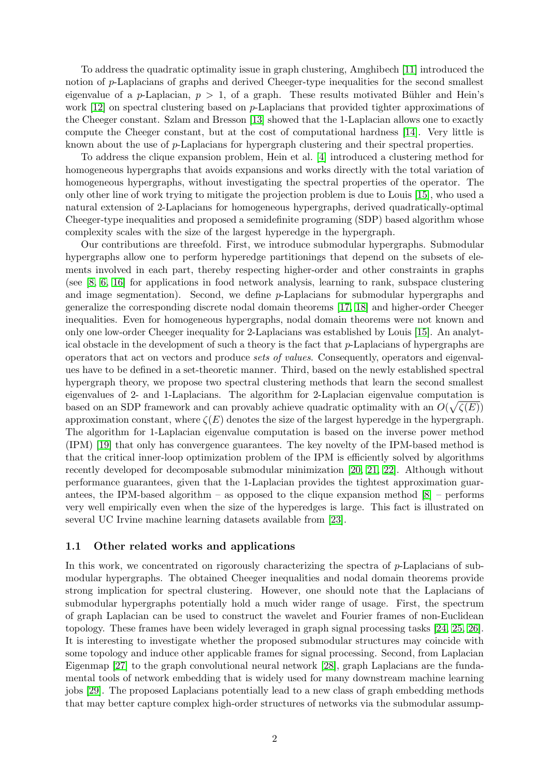To address the quadratic optimality issue in graph clustering, Amghibech [\[11\]](#page-13-10) introduced the notion of p-Laplacians of graphs and derived Cheeger-type inequalities for the second smallest eigenvalue of a p-Laplacian,  $p > 1$ , of a graph. These results motivated Bühler and Hein's work [\[12\]](#page-13-11) on spectral clustering based on *p*-Laplacians that provided tighter approximations of the Cheeger constant. Szlam and Bresson [\[13\]](#page-13-12) showed that the 1-Laplacian allows one to exactly compute the Cheeger constant, but at the cost of computational hardness [\[14\]](#page-13-13). Very little is known about the use of p-Laplacians for hypergraph clustering and their spectral properties.

To address the clique expansion problem, Hein et al. [\[4\]](#page-13-3) introduced a clustering method for homogeneous hypergraphs that avoids expansions and works directly with the total variation of homogeneous hypergraphs, without investigating the spectral properties of the operator. The only other line of work trying to mitigate the projection problem is due to Louis [\[15\]](#page-13-14), who used a natural extension of 2-Laplacians for homogeneous hypergraphs, derived quadratically-optimal Cheeger-type inequalities and proposed a semidefinite programing (SDP) based algorithm whose complexity scales with the size of the largest hyperedge in the hypergraph.

Our contributions are threefold. First, we introduce submodular hypergraphs. Submodular hypergraphs allow one to perform hyperedge partitionings that depend on the subsets of elements involved in each part, thereby respecting higher-order and other constraints in graphs (see [\[8,](#page-13-7) [6,](#page-13-5) [16\]](#page-14-0) for applications in food network analysis, learning to rank, subspace clustering and image segmentation). Second, we define p-Laplacians for submodular hypergraphs and generalize the corresponding discrete nodal domain theorems [\[17,](#page-14-1) [18\]](#page-14-2) and higher-order Cheeger inequalities. Even for homogeneous hypergraphs, nodal domain theorems were not known and only one low-order Cheeger inequality for 2-Laplacians was established by Louis [\[15\]](#page-13-14). An analytical obstacle in the development of such a theory is the fact that  $p$ -Laplacians of hypergraphs are operators that act on vectors and produce *sets of values*. Consequently, operators and eigenvalues have to be defined in a set-theoretic manner. Third, based on the newly established spectral hypergraph theory, we propose two spectral clustering methods that learn the second smallest eigenvalues of 2- and 1-Laplacians. The algorithm for 2-Laplacian eigenvalue computation is based on an SDP framework and can provably achieve quadratic optimality with an  $O(\sqrt{\zeta(E)})$ approximation constant, where  $\zeta(E)$  denotes the size of the largest hyperedge in the hypergraph. The algorithm for 1-Laplacian eigenvalue computation is based on the inverse power method (IPM) [\[19\]](#page-14-3) that only has convergence guarantees. The key novelty of the IPM-based method is that the critical inner-loop optimization problem of the IPM is efficiently solved by algorithms recently developed for decomposable submodular minimization [\[20,](#page-14-4) [21,](#page-14-5) [22\]](#page-14-6). Although without performance guarantees, given that the 1-Laplacian provides the tightest approximation guarantees, the IPM-based algorithm – as opposed to the clique expansion method  $[8]$  – performs very well empirically even when the size of the hyperedges is large. This fact is illustrated on several UC Irvine machine learning datasets available from [\[23\]](#page-14-7).

#### 1.1 Other related works and applications

In this work, we concentrated on rigorously characterizing the spectra of p-Laplacians of submodular hypergraphs. The obtained Cheeger inequalities and nodal domain theorems provide strong implication for spectral clustering. However, one should note that the Laplacians of submodular hypergraphs potentially hold a much wider range of usage. First, the spectrum of graph Laplacian can be used to construct the wavelet and Fourier frames of non-Euclidean topology. These frames have been widely leveraged in graph signal processing tasks [\[24,](#page-14-8) [25,](#page-14-9) [26\]](#page-14-10). It is interesting to investigate whether the proposed submodular structures may coincide with some topology and induce other applicable frames for signal processing. Second, from Laplacian Eigenmap [\[27\]](#page-14-11) to the graph convolutional neural network [\[28\]](#page-14-12), graph Laplacians are the fundamental tools of network embedding that is widely used for many downstream machine learning jobs [\[29\]](#page-14-13). The proposed Laplacians potentially lead to a new class of graph embedding methods that may better capture complex high-order structures of networks via the submodular assump-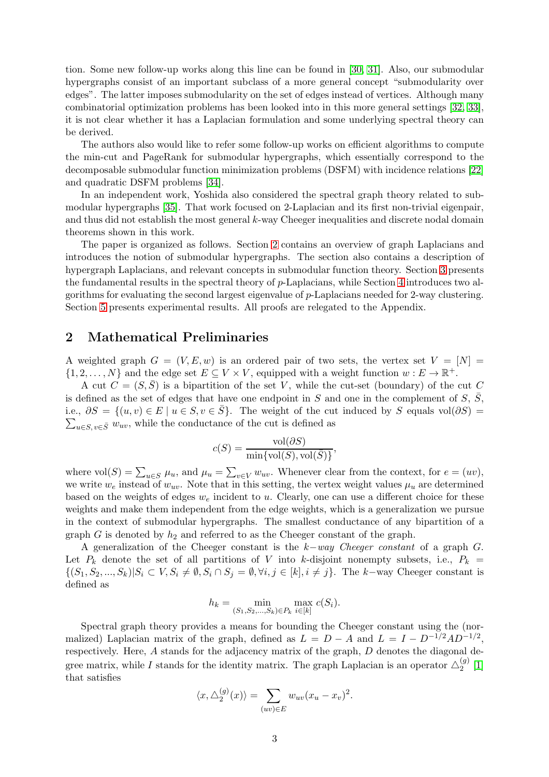tion. Some new follow-up works along this line can be found in [\[30,](#page-14-14) [31\]](#page-14-15). Also, our submodular hypergraphs consist of an important subclass of a more general concept "submodularity over edges". The latter imposes submodularity on the set of edges instead of vertices. Although many combinatorial optimization problems has been looked into in this more general settings [\[32,](#page-15-0) [33\]](#page-15-1), it is not clear whether it has a Laplacian formulation and some underlying spectral theory can be derived.

The authors also would like to refer some follow-up works on efficient algorithms to compute the min-cut and PageRank for submodular hypergraphs, which essentially correspond to the decomposable submodular function minimization problems (DSFM) with incidence relations [\[22\]](#page-14-6) and quadratic DSFM problems [\[34\]](#page-15-2).

In an independent work, Yoshida also considered the spectral graph theory related to submodular hypergraphs [\[35\]](#page-15-3). That work focused on 2-Laplacian and its first non-trivial eigenpair, and thus did not establish the most general  $k$ -way Cheeger inequalities and discrete nodal domain theorems shown in this work.

The paper is organized as follows. Section [2](#page-2-0) contains an overview of graph Laplacians and introduces the notion of submodular hypergraphs. The section also contains a description of hypergraph Laplacians, and relevant concepts in submodular function theory. Section [3](#page-5-0) presents the fundamental results in the spectral theory of p-Laplacians, while Section [4](#page-8-0) introduces two algorithms for evaluating the second largest eigenvalue of p-Laplacians needed for 2-way clustering. Section [5](#page-12-0) presents experimental results. All proofs are relegated to the Appendix.

## <span id="page-2-0"></span>2 Mathematical Preliminaries

A weighted graph  $G = (V, E, w)$  is an ordered pair of two sets, the vertex set  $V = [N] =$  $\{1, 2, \ldots, N\}$  and the edge set  $E \subseteq V \times V$ , equipped with a weight function  $w : E \to \mathbb{R}^+$ .

A cut  $C = (S, \overline{S})$  is a bipartition of the set V, while the cut-set (boundary) of the cut C is defined as the set of edges that have one endpoint in S and one in the complement of S,  $\overline{S}$ , i.e.,  $\partial S = \{(u, v) \in E \mid u \in S, v \in \overline{S}\}\)$ . The weight of the cure  $\sum_{u \in S, v \in \overline{S}} w_{uv}$ , while the conductance of the cut is defined as i.e.,  $\partial S = \{(u, v) \in E \mid u \in S, v \in \overline{S}\}.$  The weight of the cut induced by S equals vol( $\partial S$ ) =

$$
c(S) = \frac{\text{vol}(\partial S)}{\min{\text{vol}(S), \text{vol}(\bar{S})}},
$$

where  $\text{vol}(S) = \sum_{u \in S} \mu_u$ , and  $\mu_u = \sum_{v \in V} w_{uv}$ . Whenever clear from the context, for  $e = (uv)$ , we write  $w_e$  instead of  $w_{uv}$ . Note that in this setting, the vertex weight values  $\mu_u$  are determined based on the weights of edges  $w_e$  incident to u. Clearly, one can use a different choice for these weights and make them independent from the edge weights, which is a generalization we pursue in the context of submodular hypergraphs. The smallest conductance of any bipartition of a graph G is denoted by  $h_2$  and referred to as the Cheeger constant of the graph.

A generalization of the Cheeger constant is the k−*way Cheeger constant* of a graph G. Let  $P_k$  denote the set of all partitions of V into k-disjoint nonempty subsets, i.e.,  $P_k$  =  $\{(S_1, S_2, ..., S_k)|S_i \subset V, S_i \neq \emptyset, S_i \cap S_j = \emptyset, \forall i, j \in [k], i \neq j\}.$  The k-way Cheeger constant is defined as

$$
h_k = \min_{(S_1, S_2, \dots, S_k) \in P_k} \max_{i \in [k]} c(S_i).
$$

Spectral graph theory provides a means for bounding the Cheeger constant using the (normalized) Laplacian matrix of the graph, defined as  $L = D - A$  and  $L = I - D^{-1/2}AD^{-1/2}$ , respectively. Here, A stands for the adjacency matrix of the graph, D denotes the diagonal degree matrix, while I stands for the identity matrix. The graph Laplacian is an operator  $\triangle_2^{(g)}$  $\binom{(g)}{2}$  [\[1\]](#page-13-0) that satisfies

$$
\langle x, \triangle_2^{(g)}(x) \rangle = \sum_{(uv) \in E} w_{uv} (x_u - x_v)^2.
$$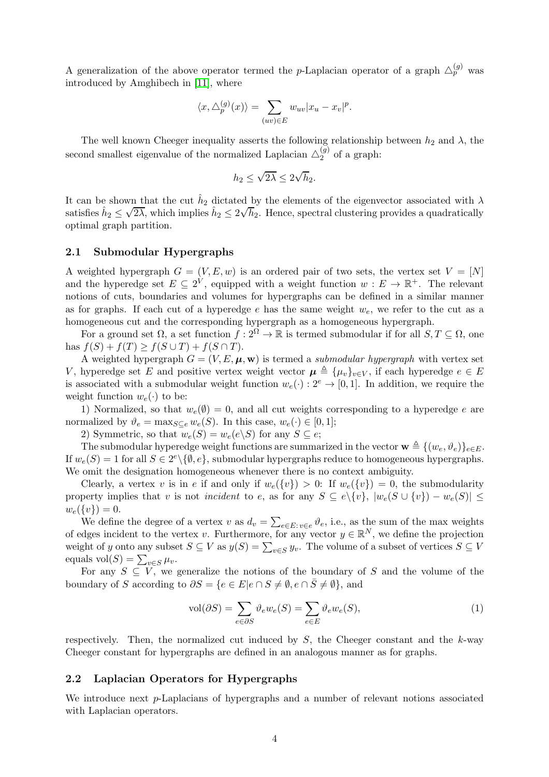A generalization of the above operator termed the p-Laplacian operator of a graph  $\triangle_{p}^{(g)}$  was introduced by Amghibech in [\[11\]](#page-13-10), where

$$
\langle x, \triangle_p^{(g)}(x) \rangle = \sum_{(uv) \in E} w_{uv} |x_u - x_v|^p.
$$

The well known Cheeger inequality asserts the following relationship between  $h_2$  and  $\lambda$ , the second smallest eigenvalue of the normalized Laplacian  $\triangle^{(g)}_2$  $2^{(9)}$  of a graph:

$$
h_2 \le \sqrt{2\lambda} \le 2\sqrt{h_2}.
$$

It can be shown that the cut  $\hat{h}_2$  dictated by the elements of the eigenvector associated with  $\lambda$ satisfies  $\hat{h}_2 \leq$  $\sqrt{2\lambda}$ , which implies  $\hat{h}_2 \leq 2\sqrt{h}_2$ . Hence, spectral clustering provides a quadratically optimal graph partition.

#### 2.1 Submodular Hypergraphs

A weighted hypergraph  $G = (V, E, w)$  is an ordered pair of two sets, the vertex set  $V = [N]$ and the hyperedge set  $E \subseteq 2^V$ , equipped with a weight function  $w : E \to \mathbb{R}^+$ . The relevant notions of cuts, boundaries and volumes for hypergraphs can be defined in a similar manner as for graphs. If each cut of a hyperedge e has the same weight  $w_e$ , we refer to the cut as a homogeneous cut and the corresponding hypergraph as a homogeneous hypergraph.

For a ground set  $\Omega$ , a set function  $f: 2^{\Omega} \to \mathbb{R}$  is termed submodular if for all  $S, T \subseteq \Omega$ , one has  $f(S) + f(T) \geq f(S \cup T) + f(S \cap T)$ .

A weighted hypergraph  $G = (V, E, \mu, \mathbf{w})$  is termed a *submodular hypergraph* with vertex set V, hyperedge set E and positive vertex weight vector  $\mu \triangleq {\{\mu_v\}}_{v \in V}$ , if each hyperedge  $e \in E$ is associated with a submodular weight function  $w_e(\cdot) : 2^e \to [0,1]$ . In addition, we require the weight function  $w_e(\cdot)$  to be:

1) Normalized, so that  $w_e(\emptyset) = 0$ , and all cut weights corresponding to a hyperedge e are normalized by  $\vartheta_e = \max_{S \subseteq e} w_e(S)$ . In this case,  $w_e(\cdot) \in [0,1]$ ;

2) Symmetric, so that  $w_e(S) = w_e(e \setminus S)$  for any  $S \subseteq e$ ;

The submodular hyperedge weight functions are summarized in the vector  $\mathbf{w} \triangleq \{ (w_e, \vartheta_e) \}_{e \in E}$ . If  $w_e(S) = 1$  for all  $S \in 2^e \setminus \{\emptyset, e\}$ , submodular hypergraphs reduce to homogeneous hypergraphs. We omit the designation homogeneous whenever there is no context ambiguity.

Clearly, a vertex v is in e if and only if  $w_e({v}) > 0$ : If  $w_e({v}) = 0$ , the submodularity property implies that v is not *incident* to e, as for any  $S \subseteq e \setminus \{v\}$ ,  $|w_e(S \cup \{v\}) - w_e(S)| \le$  $w_e({v}) = 0.$ 

We define the degree of a vertex v as  $d_v = \sum_{e \in E: v \in e} \vartheta_e$ , i.e., as the sum of the max weights of edges incident to the vertex v. Furthermore, for any vector  $y \in \mathbb{R}^N$ , we define the projection weight of y onto any subset  $S \subseteq V$  as  $y(S) = \sum_{v \in S} y_v$ . The volume of a subset of vertices  $S \subseteq V$ equals  $\text{vol}(S) = \sum_{v \in S} \mu_v$ .

For any  $S \subseteq V$ , we generalize the notions of the boundary of S and the volume of the boundary of S according to  $\partial S = \{e \in E | e \cap S \neq \emptyset, e \cap \overline{S} \neq \emptyset\}$ , and

$$
\text{vol}(\partial S) = \sum_{e \in \partial S} \vartheta_e w_e(S) = \sum_{e \in E} \vartheta_e w_e(S),\tag{1}
$$

respectively. Then, the normalized cut induced by  $S$ , the Cheeger constant and the  $k$ -way Cheeger constant for hypergraphs are defined in an analogous manner as for graphs.

#### 2.2 Laplacian Operators for Hypergraphs

We introduce next p-Laplacians of hypergraphs and a number of relevant notions associated with Laplacian operators.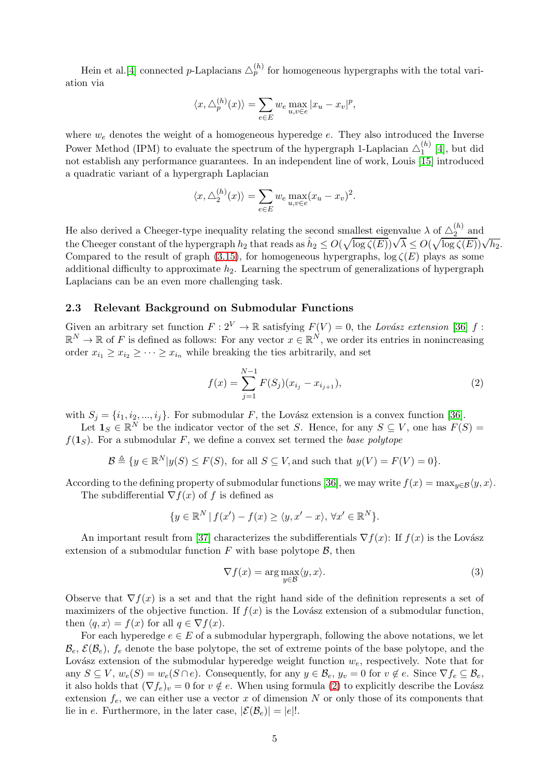Hein et al.<sup>[\[4\]](#page-13-3)</sup> connected *p*-Laplacians  $\triangle_p^{(h)}$  for homogeneous hypergraphs with the total variation via

$$
\langle x, \triangle_p^{(h)}(x) \rangle = \sum_{e \in E} w_e \max_{u,v \in e} |x_u - x_v|^p,
$$

where  $w_e$  denotes the weight of a homogeneous hyperedge  $e$ . They also introduced the Inverse Power Method (IPM) to evaluate the spectrum of the hypergraph 1-Laplacian  $\triangle_1^{(h)}$  $\binom{n}{1}$  [\[4\]](#page-13-3), but did not establish any performance guarantees. In an independent line of work, Louis [\[15\]](#page-13-14) introduced a quadratic variant of a hypergraph Laplacian

$$
\langle x, \triangle_2^{(h)}(x) \rangle = \sum_{e \in E} w_e \max_{u,v \in e} (x_u - x_v)^2.
$$

He also derived a Cheeger-type inequality relating the second smallest eigenvalue  $\lambda$  of  $\Delta_2^{(h)}$  $\frac{1}{2}$  and the Cheeger constant of the hypergraph  $h_2$  that reads as  $\hat{h}_2 \leq O(\sqrt{\log \zeta(E)})\sqrt{\lambda} \leq O(\sqrt{\log \zeta(E)})\sqrt{h_2}$ . Compared to the result of graph [\(3.15\)](#page-8-1), for homogeneous hypergraphs,  $\log \zeta(E)$  plays as some additional difficulty to approximate  $h_2$ . Learning the spectrum of generalizations of hypergraph Laplacians can be an even more challenging task.

#### 2.3 Relevant Background on Submodular Functions

Given an arbitrary set function  $F: 2^V \to \mathbb{R}$  satisfying  $F(V) = 0$ , the *Lovász extension* [\[36\]](#page-15-4) f:  $\mathbb{R}^N \to \mathbb{R}$  of F is defined as follows: For any vector  $x \in \mathbb{R}^N$ , we order its entries in nonincreasing order  $x_{i_1} \geq x_{i_2} \geq \cdots \geq x_{i_n}$  while breaking the ties arbitrarily, and set

<span id="page-4-0"></span>
$$
f(x) = \sum_{j=1}^{N-1} F(S_j)(x_{i_j} - x_{i_{j+1}}),
$$
\n(2)

with  $S_i = \{i_1, i_2, ..., i_j\}$ . For submodular F, the Lovász extension is a convex function [\[36\]](#page-15-4).

Let  $\mathbf{1}_S \in \mathbb{R}^N$  be the indicator vector of the set S. Hence, for any  $S \subseteq V$ , one has  $F(S) =$  $f(1<sub>S</sub>)$ . For a submodular F, we define a convex set termed the *base polytope* 

$$
\mathcal{B} \triangleq \{ y \in \mathbb{R}^N | y(S) \le F(S), \text{ for all } S \subseteq V, \text{and such that } y(V) = F(V) = 0 \}.
$$

According to the defining property of submodular functions [\[36\]](#page-15-4), we may write  $f(x) = \max_{y \in \mathcal{B}} \langle y, x \rangle$ .

The subdifferential  $\nabla f(x)$  of f is defined as

$$
\{y \in \mathbb{R}^N \mid f(x') - f(x) \ge \langle y, x' - x \rangle, \, \forall x' \in \mathbb{R}^N\}.
$$

An important result from [\[37\]](#page-15-5) characterizes the subdifferentials  $\nabla f(x)$ : If  $f(x)$  is the Lovász extension of a submodular function  $F$  with base polytope  $\beta$ , then

<span id="page-4-1"></span>
$$
\nabla f(x) = \arg \max_{y \in \mathcal{B}} \langle y, x \rangle.
$$
 (3)

Observe that  $\nabla f(x)$  is a set and that the right hand side of the definition represents a set of maximizers of the objective function. If  $f(x)$  is the Lovász extension of a submodular function, then  $\langle q, x \rangle = f(x)$  for all  $q \in \nabla f(x)$ .

For each hyperedge  $e \in E$  of a submodular hypergraph, following the above notations, we let  $\mathcal{B}_e, \mathcal{E}(\mathcal{B}_e), f_e$  denote the base polytope, the set of extreme points of the base polytope, and the Lovász extension of the submodular hyperedge weight function  $w_e$ , respectively. Note that for any  $S \subseteq V$ ,  $w_e(S) = w_e(S \cap e)$ . Consequently, for any  $y \in \mathcal{B}_e$ ,  $y_v = 0$  for  $v \notin e$ . Since  $\nabla f_e \subseteq \mathcal{B}_e$ , it also holds that  $(\nabla f_e)_v = 0$  for  $v \notin e$ . When using formula [\(2\)](#page-4-0) to explicitly describe the Lovász extension  $f_e$ , we can either use a vector x of dimension N or only those of its components that lie in e. Furthermore, in the later case,  $|\mathcal{E}(\mathcal{B}_e)| = |e|!$ .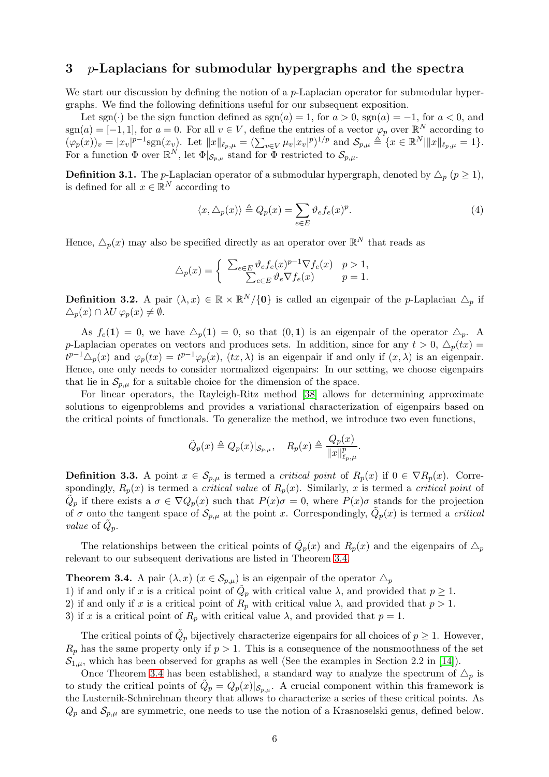# <span id="page-5-0"></span> $3$  p-Laplacians for submodular hypergraphs and the spectra

We start our discussion by defining the notion of a p-Laplacian operator for submodular hypergraphs. We find the following definitions useful for our subsequent exposition.

Let sgn(·) be the sign function defined as  $sgn(a) = 1$ , for  $a > 0$ ,  $sgn(a) = -1$ , for  $a < 0$ , and  $sgn(a) = [-1, 1]$ , for  $a = 0$ . For all  $v \in V$ , define the entries of a vector  $\varphi_p$  over  $\mathbb{R}^N$  according to  $(\varphi_p(x))_v = |x_v|^{p-1} \text{sgn}(x_v)$ . Let  $||x||_{\ell_p,\mu} = (\sum_{v \in V} \mu_v |x_v|^p)^{1/p}$  and  $\mathcal{S}_{p,\mu} \triangleq \{x \in \mathbb{R}^N | ||x||_{\ell_p,\mu} = 1\}.$ For a function  $\Phi$  over  $\mathbb{R}^N$ , let  $\Phi|_{\mathcal{S}_{p,\mu}}$  stand for  $\Phi$  restricted to  $\mathcal{S}_{p,\mu}$ .

<span id="page-5-2"></span>**Definition 3.1.** The *p*-Laplacian operator of a submodular hypergraph, denoted by  $\Delta_p$  ( $p \ge 1$ ), is defined for all  $x \in \mathbb{R}^N$  according to

$$
\langle x, \triangle_p(x) \rangle \triangleq Q_p(x) = \sum_{e \in E} \vartheta_e f_e(x)^p.
$$
 (4)

Hence,  $\triangle_p(x)$  may also be specified directly as an operator over  $\mathbb{R}^N$  that reads as

$$
\triangle_p(x) = \begin{cases} \sum_{e \in E} \vartheta_e f_e(x)^{p-1} \nabla f_e(x) & p > 1, \\ \sum_{e \in E} \vartheta_e \nabla f_e(x) & p = 1. \end{cases}
$$

**Definition 3.2.** A pair  $(\lambda, x) \in \mathbb{R} \times \mathbb{R}^N/\{0\}$  is called an eigenpair of the *p*-Laplacian  $\Delta_p$  if  $\triangle_p(x) \cap \lambda U \varphi_p(x) \neq \emptyset.$ 

As  $f_e(1) = 0$ , we have  $\Delta_p(1) = 0$ , so that  $(0, 1)$  is an eigenpair of the operator  $\Delta_p$ . A p-Laplacian operates on vectors and produces sets. In addition, since for any  $t > 0$ ,  $\Delta_p(tx)$  $t^{p-1}\Delta_p(x)$  and  $\varphi_p(tx) = t^{p-1}\varphi_p(x)$ ,  $(tx, \lambda)$  is an eigenpair if and only if  $(x, \lambda)$  is an eigenpair. Hence, one only needs to consider normalized eigenpairs: In our setting, we choose eigenpairs that lie in  $\mathcal{S}_{p,\mu}$  for a suitable choice for the dimension of the space.

For linear operators, the Rayleigh-Ritz method [\[38\]](#page-15-6) allows for determining approximate solutions to eigenproblems and provides a variational characterization of eigenpairs based on the critical points of functionals. To generalize the method, we introduce two even functions,

$$
\tilde{Q}_p(x) \triangleq Q_p(x)|_{\mathcal{S}_{p,\mu}}, \quad R_p(x) \triangleq \frac{Q_p(x)}{\|x\|_{\ell_p,\mu}^p}.
$$

**Definition 3.3.** A point  $x \in S_{p,\mu}$  is termed a *critical point* of  $R_p(x)$  if  $0 \in \nabla R_p(x)$ . Correspondingly,  $R_p(x)$  is termed a *critical value* of  $R_p(x)$ . Similarly, x is termed a *critical point* of  $\tilde{Q}_p$  if there exists a  $\sigma \in \nabla Q_p(x)$  such that  $P(x)\sigma = 0$ , where  $P(x)\sigma$  stands for the projection of  $\sigma$  onto the tangent space of  $\mathcal{S}_{p,\mu}$  at the point x. Correspondingly,  $\tilde{Q}_p(x)$  is termed a *critical value* of  $\tilde{Q}_p$ .

The relationships between the critical points of  $\tilde{Q}_p(x)$  and  $R_p(x)$  and the eigenpairs of  $\Delta_p$ relevant to our subsequent derivations are listed in Theorem [3.4.](#page-5-1)

<span id="page-5-1"></span>**Theorem 3.4.** A pair  $(\lambda, x)$   $(x \in S_{p,\mu})$  is an eigenpair of the operator  $\Delta_p$ 1) if and only if x is a critical point of  $\tilde{Q}_p$  with critical value  $\lambda$ , and provided that  $p \geq 1$ . 2) if and only if x is a critical point of  $R_p$  with critical value  $\lambda$ , and provided that  $p > 1$ . 3) if x is a critical point of  $R_p$  with critical value  $\lambda$ , and provided that  $p = 1$ .

The critical points of  $\tilde{Q}_p$  bijectively characterize eigenpairs for all choices of  $p \geq 1$ . However,  $R_p$  has the same property only if  $p > 1$ . This is a consequence of the nonsmoothness of the set  $\mathcal{S}_{1,\mu}$ , which has been observed for graphs as well (See the examples in Section 2.2 in [\[14\]](#page-13-13)).

Once Theorem [3.4](#page-5-1) has been established, a standard way to analyze the spectrum of  $\Delta_p$  is to study the critical points of  $\tilde{Q}_p = Q_p(x)|_{\mathcal{S}_{p,\mu}}$ . A crucial component within this framework is the Lusternik-Schnirelman theory that allows to characterize a series of these critical points. As  $Q_p$  and  $S_{p,\mu}$  are symmetric, one needs to use the notion of a Krasnoselski genus, defined below.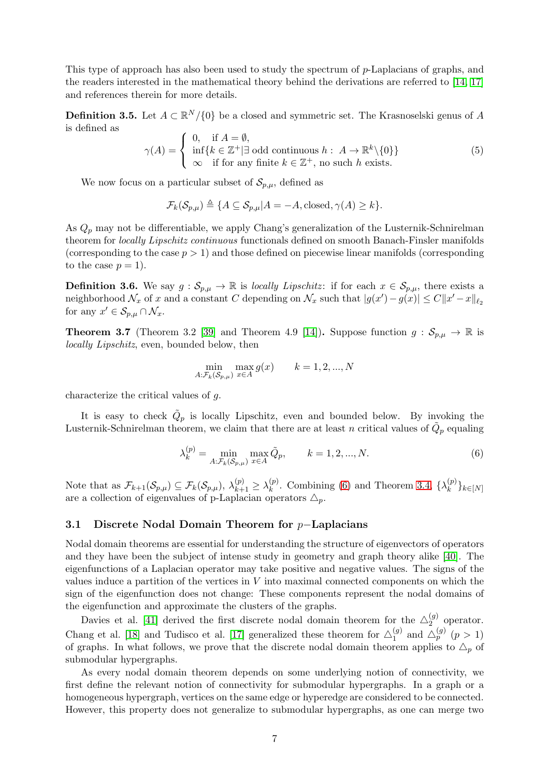This type of approach has also been used to study the spectrum of p-Laplacians of graphs, and the readers interested in the mathematical theory behind the derivations are referred to [\[14,](#page-13-13) [17\]](#page-14-1) and references therein for more details.

**Definition 3.5.** Let  $A \subset \mathbb{R}^N/\{0\}$  be a closed and symmetric set. The Krasnoselski genus of A is defined as

$$
\gamma(A) = \begin{cases} 0, & \text{if } A = \emptyset, \\ \inf\{k \in \mathbb{Z}^+ | \exists \text{ odd continuous } h : A \to \mathbb{R}^k \setminus \{0\} \} \\ \infty & \text{if for any finite } k \in \mathbb{Z}^+, \text{ no such } h \text{ exists.} \end{cases} \tag{5}
$$

We now focus on a particular subset of  $\mathcal{S}_{p,\mu}$ , defined as

 $\mathcal{F}_k(\mathcal{S}_{p,\mu}) \triangleq \{A \subseteq \mathcal{S}_{p,\mu}| A = -A, \text{closed}, \gamma(A) \geq k\}.$ 

As  $Q_p$  may not be differentiable, we apply Chang's generalization of the Lusternik-Schnirelman theorem for *locally Lipschitz continuous* functionals defined on smooth Banach-Finsler manifolds (corresponding to the case  $p > 1$ ) and those defined on piecewise linear manifolds (corresponding to the case  $p = 1$ .

**Definition 3.6.** We say  $g : \mathcal{S}_{p,\mu} \to \mathbb{R}$  is *locally Lipschitz*: if for each  $x \in \mathcal{S}_{p,\mu}$ , there exists a neighborhood  $\mathcal{N}_x$  of x and a constant C depending on  $\mathcal{N}_x$  such that  $|g(x') - g(x)| \leq C||x' - x||_{\ell_2}$ for any  $x' \in \mathcal{S}_{p,\mu} \cap \mathcal{N}_x$ .

**Theorem 3.7** (Theorem 3.2 [\[39\]](#page-15-7) and Theorem 4.9 [\[14\]](#page-13-13)). Suppose function  $g : \mathcal{S}_{p,\mu} \to \mathbb{R}$  is *locally Lipschitz*, even, bounded below, then

<span id="page-6-0"></span>
$$
\min_{A:\mathcal{F}_k(S_{p,\mu})} \max_{x \in A} g(x) \qquad k = 1, 2, ..., N
$$

characterize the critical values of g.

It is easy to check  $\tilde{Q}_p$  is locally Lipschitz, even and bounded below. By invoking the Lusternik-Schnirelman theorem, we claim that there are at least n critical values of  $\tilde{Q}_p$  equaling

$$
\lambda_k^{(p)} = \min_{A:\mathcal{F}_k(\mathcal{S}_{p,\mu})} \max_{x \in A} \tilde{Q}_p, \qquad k = 1, 2, ..., N. \tag{6}
$$

Note that as  $\mathcal{F}_{k+1}(\mathcal{S}_{p,\mu}) \subseteq \mathcal{F}_{k}(\mathcal{S}_{p,\mu}), \lambda_{k+1}^{(p)} \geq \lambda_k^{(p)}$  $\binom{p}{k}$ . Combining [\(6\)](#page-6-0) and Theorem [3.4,](#page-5-1) { $\lambda_k^{(p)}$  $\sum_{k=1}^{N} k \in [N]$ are a collection of eigenvalues of p-Laplacian operators  $\triangle_p$ .

## 3.1 Discrete Nodal Domain Theorem for p−Laplacians

Nodal domain theorems are essential for understanding the structure of eigenvectors of operators and they have been the subject of intense study in geometry and graph theory alike [\[40\]](#page-15-8). The eigenfunctions of a Laplacian operator may take positive and negative values. The signs of the values induce a partition of the vertices in  $V$  into maximal connected components on which the sign of the eigenfunction does not change: These components represent the nodal domains of the eigenfunction and approximate the clusters of the graphs.

Davies et al. [\[41\]](#page-15-9) derived the first discrete nodal domain theorem for the  $\triangle_2^{(g)}$  $2^{(9)}$  operator. Chang et al. [\[18\]](#page-14-2) and Tudisco et al. [\[17\]](#page-14-1) generalized these theorem for  $\triangle_1^{(g)}$  $_{1}^{(g)}$  and  $\triangle_{p}^{(g)}$   $(p > 1)$ of graphs. In what follows, we prove that the discrete nodal domain theorem applies to  $\Delta_p$  of submodular hypergraphs.

As every nodal domain theorem depends on some underlying notion of connectivity, we first define the relevant notion of connectivity for submodular hypergraphs. In a graph or a homogeneous hypergraph, vertices on the same edge or hyperedge are considered to be connected. However, this property does not generalize to submodular hypergraphs, as one can merge two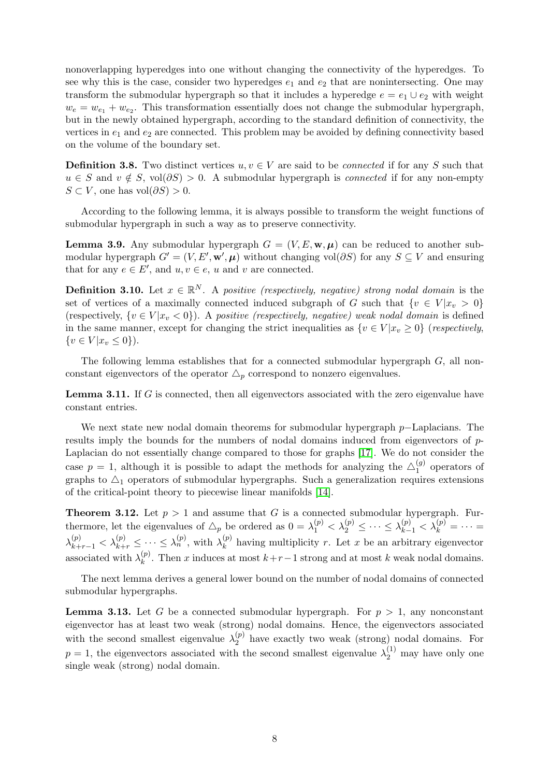nonoverlapping hyperedges into one without changing the connectivity of the hyperedges. To see why this is the case, consider two hyperedges  $e_1$  and  $e_2$  that are nonintersecting. One may transform the submodular hypergraph so that it includes a hyperedge  $e = e_1 \cup e_2$  with weight  $w_e = w_{e_1} + w_{e_2}$ . This transformation essentially does not change the submodular hypergraph, but in the newly obtained hypergraph, according to the standard definition of connectivity, the vertices in  $e_1$  and  $e_2$  are connected. This problem may be avoided by defining connectivity based on the volume of the boundary set.

**Definition 3.8.** Two distinct vertices  $u, v \in V$  are said to be *connected* if for any S such that  $u \in S$  and  $v \notin S$ , vol $(\partial S) > 0$ . A submodular hypergraph is *connected* if for any non-empty  $S \subset V$ , one has vol $(\partial S) > 0$ .

According to the following lemma, it is always possible to transform the weight functions of submodular hypergraph in such a way as to preserve connectivity.

<span id="page-7-0"></span>**Lemma 3.9.** Any submodular hypergraph  $G = (V, E, \mathbf{w}, \mu)$  can be reduced to another submodular hypergraph  $G' = (V, E', \mathbf{w}', \boldsymbol{\mu})$  without changing vol $(\partial S)$  for any  $S \subseteq V$  and ensuring that for any  $e \in E'$ , and  $u, v \in e$ , u and v are connected.

**Definition 3.10.** Let  $x \in \mathbb{R}^N$ . A *positive (respectively, negative) strong nodal domain* is the set of vertices of a maximally connected induced subgraph of G such that  $\{v \in V | x_v > 0\}$ (respectively,  $\{v \in V | x_v < 0\}$ ). A *positive (respectively, negative)* weak nodal domain is defined in the same manner, except for changing the strict inequalities as  $\{v \in V | x_v \ge 0\}$  (*respectively*,  $\{v \in V | x_v \leq 0\}.$ 

The following lemma establishes that for a connected submodular hypergraph  $G$ , all nonconstant eigenvectors of the operator  $\Delta_p$  correspond to nonzero eigenvalues.

<span id="page-7-1"></span>**Lemma 3.11.** If  $G$  is connected, then all eigenvectors associated with the zero eigenvalue have constant entries.

We next state new nodal domain theorems for submodular hypergraph p−Laplacians. The results imply the bounds for the numbers of nodal domains induced from eigenvectors of p-Laplacian do not essentially change compared to those for graphs [\[17\]](#page-14-1). We do not consider the case  $p = 1$ , although it is possible to adapt the methods for analyzing the  $\triangle_1^{(g)}$  $1^{(g)}$  operators of graphs to  $\Delta_1$  operators of submodular hypergraphs. Such a generalization requires extensions of the critical-point theory to piecewise linear manifolds [\[14\]](#page-13-13).

<span id="page-7-2"></span>**Theorem 3.12.** Let  $p > 1$  and assume that G is a connected submodular hypergraph. Furthermore, let the eigenvalues of  $\Delta_p$  be ordered as  $0 = \lambda_1^{(p)} < \lambda_2^{(p)} \leq \cdots \leq \lambda_{k-1}^{(p)} < \lambda_k^{(p)} = \cdots =$  $\lambda_{k+r-1}^{(p)} < \lambda_{k+r}^{(p)} \leq \cdots \leq \lambda_n^{(p)}$ , with  $\lambda_k^{(p)}$  $\binom{p}{k}$  having multiplicity r. Let x be an arbitrary eigenvector associated with  $\lambda_k^{(p)}$  $\binom{p}{k}$ . Then x induces at most  $k+r-1$  strong and at most k weak nodal domains.

The next lemma derives a general lower bound on the number of nodal domains of connected submodular hypergraphs.

<span id="page-7-3"></span>**Lemma 3.13.** Let G be a connected submodular hypergraph. For  $p > 1$ , any nonconstant eigenvector has at least two weak (strong) nodal domains. Hence, the eigenvectors associated with the second smallest eigenvalue  $\lambda_2^{(p)}$  $_2^{\left(\nu\right)}$  have exactly two weak (strong) nodal domains. For  $p = 1$ , the eigenvectors associated with the second smallest eigenvalue  $\lambda_2^{(1)}$  may have only one single weak (strong) nodal domain.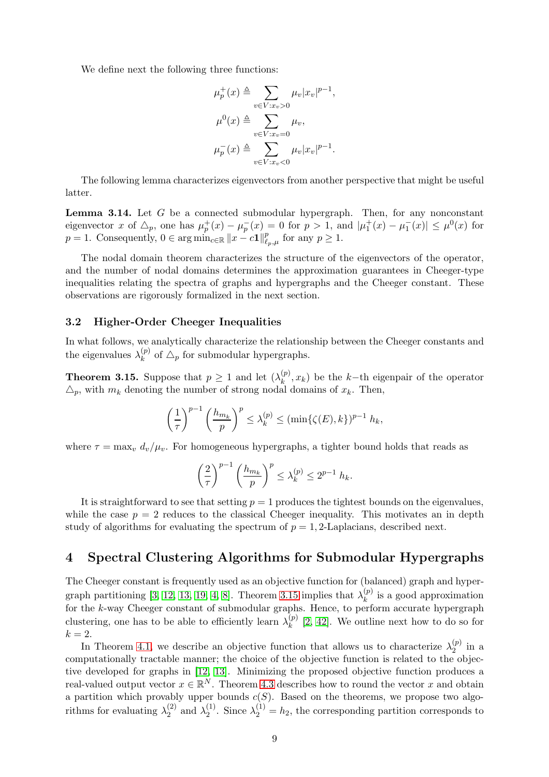We define next the following three functions:

$$
\mu_p^+(x) \triangleq \sum_{v \in V: x_v > 0} \mu_v |x_v|^{p-1},
$$
  

$$
\mu^0(x) \triangleq \sum_{v \in V: x_v = 0} \mu_v,
$$
  

$$
\mu_p^-(x) \triangleq \sum_{v \in V: x_v < 0} \mu_v |x_v|^{p-1}.
$$

The following lemma characterizes eigenvectors from another perspective that might be useful latter.

<span id="page-8-2"></span>**Lemma 3.14.** Let  $G$  be a connected submodular hypergraph. Then, for any nonconstant eigenvector x of  $\Delta_p$ , one has  $\mu_p^+(x) - \mu_p^-(x) = 0$  for  $p > 1$ , and  $|\mu_1^+(x) - \mu_1^-(x)| \leq \mu^0(x)$  for  $p = 1$ . Consequently,  $0 \in \arg \min_{c \in \mathbb{R}} ||x - c1||_{\ell_p, \mu}^p$  for any  $p \ge 1$ .

The nodal domain theorem characterizes the structure of the eigenvectors of the operator, and the number of nodal domains determines the approximation guarantees in Cheeger-type inequalities relating the spectra of graphs and hypergraphs and the Cheeger constant. These observations are rigorously formalized in the next section.

#### 3.2 Higher-Order Cheeger Inequalities

In what follows, we analytically characterize the relationship between the Cheeger constants and the eigenvalues  $\lambda_k^{(p)}$  $\chi_k^{(p)}$  of  $\Delta_p$  for submodular hypergraphs.

<span id="page-8-1"></span>**Theorem 3.15.** Suppose that  $p \geq 1$  and let  $(\lambda_k^{(p)})$  $\binom{p}{k}, x_k$  be the k-th eigenpair of the operator  $\Delta_p$ , with  $m_k$  denoting the number of strong nodal domains of  $x_k$ . Then,

$$
\left(\frac{1}{\tau}\right)^{p-1} \left(\frac{h_{m_k}}{p}\right)^p \leq \lambda_k^{(p)} \leq (\min\{\zeta(E),k\})^{p-1} h_k,
$$

where  $\tau = \max_v d_v/\mu_v$ . For homogeneous hypergraphs, a tighter bound holds that reads as

$$
\left(\frac{2}{\tau}\right)^{p-1} \left(\frac{h_{m_k}}{p}\right)^p \leq \lambda_k^{(p)} \leq 2^{p-1} h_k.
$$

It is straightforward to see that setting  $p = 1$  produces the tightest bounds on the eigenvalues. while the case  $p = 2$  reduces to the classical Cheeger inequality. This motivates an in depth study of algorithms for evaluating the spectrum of  $p = 1, 2$ -Laplacians, described next.

## <span id="page-8-0"></span>4 Spectral Clustering Algorithms for Submodular Hypergraphs

The Cheeger constant is frequently used as an objective function for (balanced) graph and hyper-graph partitioning [\[3,](#page-13-2) [12,](#page-13-11) [13,](#page-13-12) [19,](#page-14-3) [4,](#page-13-3) [8\]](#page-13-7). Theorem [3.15](#page-8-1) implies that  $\lambda_k^{(p)}$  $\binom{p}{k}$  is a good approximation for the k-way Cheeger constant of submodular graphs. Hence, to perform accurate hypergraph clustering, one has to be able to efficiently learn  $\lambda_k^{(p)}$  $\binom{p}{k}$  [\[2,](#page-13-1) [42\]](#page-15-10). We outline next how to do so for  $k = 2$ .

In Theorem [4.1,](#page-9-0) we describe an objective function that allows us to characterize  $\lambda_2^{(p)}$  $2^{(p)}$  in a computationally tractable manner; the choice of the objective function is related to the objective developed for graphs in [\[12,](#page-13-11) [13\]](#page-13-12). Minimizing the proposed objective function produces a real-valued output vector  $x \in \mathbb{R}^N$ . Theorem [4.3](#page-9-1) describes how to round the vector x and obtain a partition which provably upper bounds  $c(S)$ . Based on the theorems, we propose two algorithms for evaluating  $\lambda_2^{(2)}$  $\lambda_2^{(2)}$  and  $\lambda_2^{(1)}$  $\lambda_2^{(1)}$ . Since  $\lambda_2^{(1)} = h_2$ , the corresponding partition corresponds to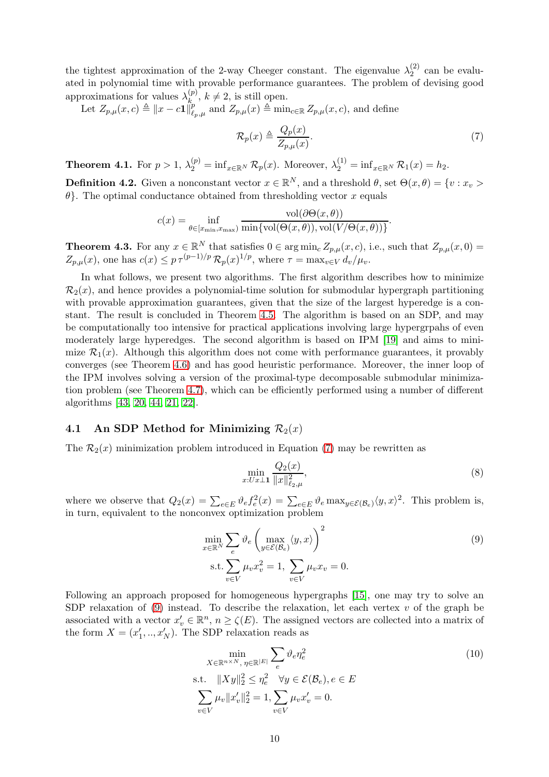the tightest approximation of the 2-way Cheeger constant. The eigenvalue  $\lambda_2^{(2)}$  $2^{(2)}$  can be evaluated in polynomial time with provable performance guarantees. The problem of devising good approximations for values  $\lambda_k^{(p)}$  $\binom{p}{k}$ ,  $k \neq 2$ , is still open.

Let  $Z_{p,\mu}(x,c) \triangleq ||x - c\mathbf{1}||_p^p$  $\sum_{\ell_p,\mu}^p$  and  $Z_{p,\mu}(x) \triangleq \min_{c \in \mathbb{R}} Z_{p,\mu}(x, c)$ , and define

<span id="page-9-2"></span>
$$
\mathcal{R}_p(x) \triangleq \frac{Q_p(x)}{Z_{p,\mu}(x)}.\tag{7}
$$

<span id="page-9-0"></span>**Theorem 4.1.** For  $p > 1$ ,  $\lambda_2^{(p)} = \inf_{x \in \mathbb{R}^N} \mathcal{R}_p(x)$ . Moreover,  $\lambda_2^{(1)} = \inf_{x \in \mathbb{R}^N} \mathcal{R}_1(x) = h_2$ .

**Definition 4.2.** Given a nonconstant vector  $x \in \mathbb{R}^N$ , and a threshold  $\theta$ , set  $\Theta(x, \theta) = \{v : x_v > 0\}$  $\theta$ . The optimal conductance obtained from thresholding vector x equals

$$
c(x) = \inf_{\theta \in [x_{\min}, x_{\max})} \frac{\text{vol}(\partial \Theta(x, \theta))}{\min{\text{vol}(\Theta(x, \theta)), \text{vol}(V/\Theta(x, \theta))}}.
$$

<span id="page-9-1"></span>**Theorem 4.3.** For any  $x \in \mathbb{R}^N$  that satisfies  $0 \in \arg \min_c Z_{p,\mu}(x,c)$ , i.e., such that  $Z_{p,\mu}(x,0) =$  $Z_{p,\mu}(x)$ , one has  $c(x) \leq p \tau^{(p-1)/p} \mathcal{R}_p(x)^{1/p}$ , where  $\tau = \max_{v \in V} d_v/\mu_v$ .

In what follows, we present two algorithms. The first algorithm describes how to minimize  $\mathcal{R}_2(x)$ , and hence provides a polynomial-time solution for submodular hypergraph partitioning with provable approximation guarantees, given that the size of the largest hyperedge is a constant. The result is concluded in Theorem [4.5.](#page-10-0) The algorithm is based on an SDP, and may be computationally too intensive for practical applications involving large hypergrpahs of even moderately large hyperedges. The second algorithm is based on IPM [\[19\]](#page-14-3) and aims to minimize  $\mathcal{R}_1(x)$ . Although this algorithm does not come with performance guarantees, it provably converges (see Theorem [4.6\)](#page-10-1) and has good heuristic performance. Moreover, the inner loop of the IPM involves solving a version of the proximal-type decomposable submodular minimization problem (see Theorem [4.7\)](#page-10-2), which can be efficiently performed using a number of different algorithms [\[43,](#page-15-11) [20,](#page-14-4) [44,](#page-15-12) [21,](#page-14-5) [22\]](#page-14-6).

## 4.1 An SDP Method for Minimizing  $\mathcal{R}_2(x)$

The  $\mathcal{R}_2(x)$  minimization problem introduced in Equation [\(7\)](#page-9-2) may be rewritten as

<span id="page-9-3"></span>
$$
\min_{x: U x \perp \mathbf{1}} \frac{Q_2(x)}{\|x\|_{\ell_{2},\mu}^2},\tag{8}
$$

where we observe that  $Q_2(x) = \sum_{e \in E} \vartheta_e f_e^2(x) = \sum_{e \in E} \vartheta_e \max_{y \in \mathcal{E}(\mathcal{B}_e)} \langle y, x \rangle^2$ . This problem is, in turn, equivalent to the nonconvex optimization problem

$$
\min_{x \in \mathbb{R}^N} \sum_e \vartheta_e \left( \max_{y \in \mathcal{E}(\mathcal{B}_e)} \langle y, x \rangle \right)^2
$$
\n
$$
\text{s.t.} \sum_{v \in V} \mu_v x_v^2 = 1, \sum_{v \in V} \mu_v x_v = 0.
$$
\n(9)

Following an approach proposed for homogeneous hypergraphs [\[15\]](#page-13-14), one may try to solve an SDP relaxation of [\(9\)](#page-9-3) instead. To describe the relaxation, let each vertex  $v$  of the graph be associated with a vector  $x'_v \in \mathbb{R}^n$ ,  $n \ge \zeta(E)$ . The assigned vectors are collected into a matrix of the form  $X = (x'_1, ..., x'_N)$ . The SDP relaxation reads as

<span id="page-9-4"></span>
$$
\min_{X \in \mathbb{R}^{n \times N}, \eta \in \mathbb{R}^{|E|}} \sum_{e} \vartheta_e \eta_e^2
$$
\ns.t. 
$$
||Xy||_2^2 \le \eta_e^2 \quad \forall y \in \mathcal{E}(\mathcal{B}_e), e \in E
$$
\n
$$
\sum_{v \in V} \mu_v ||x'_v||_2^2 = 1, \sum_{v \in V} \mu_v x'_v = 0.
$$
\n(10)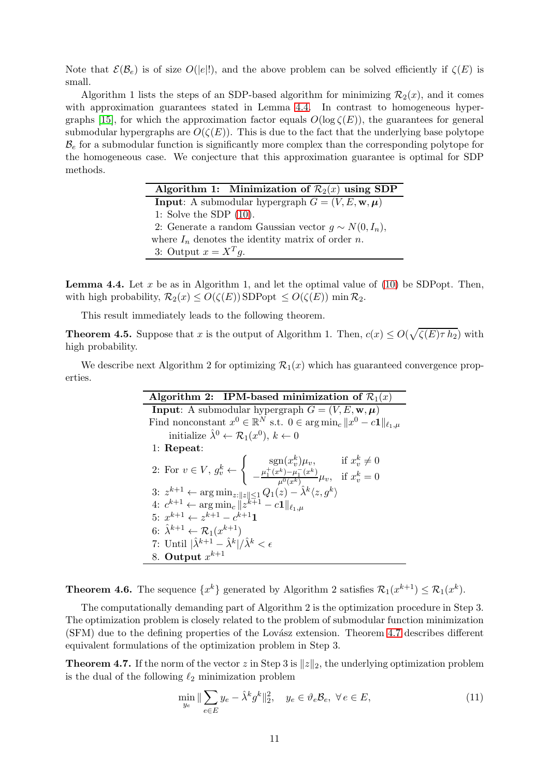Note that  $\mathcal{E}(\mathcal{B}_e)$  is of size  $O(|e|!)$ , and the above problem can be solved efficiently if  $\zeta(E)$  is small.

Algorithm 1 lists the steps of an SDP-based algorithm for minimizing  $\mathcal{R}_2(x)$ , and it comes with approximation guarantees stated in Lemma [4.4.](#page-10-3) In contrast to homogeneous hyper-graphs [\[15\]](#page-13-14), for which the approximation factor equals  $O(\log \zeta(E))$ , the guarantees for general submodular hypergraphs are  $O(\zeta(E))$ . This is due to the fact that the underlying base polytope  $\mathcal{B}_e$  for a submodular function is significantly more complex than the corresponding polytope for the homogeneous case. We conjecture that this approximation guarantee is optimal for SDP methods.

| Algorithm 1: Minimization of $\mathcal{R}_2(x)$ using SDP                        |
|----------------------------------------------------------------------------------|
| <b>Input:</b> A submodular hypergraph $G = (V, E, \mathbf{w}, \boldsymbol{\mu})$ |
| 1: Solve the SDP $(10)$ .                                                        |
| 2: Generate a random Gaussian vector $g \sim N(0, I_n)$ ,                        |
| where $I_n$ denotes the identity matrix of order n.                              |
| 3: Output $x = X^T q$ .                                                          |

<span id="page-10-3"></span>**Lemma 4.4.** Let x be as in Algorithm 1, and let the optimal value of  $(10)$  be SDPopt. Then, with high probability,  $\mathcal{R}_2(x) \le O(\zeta(E))$  SDPopt  $\le O(\zeta(E))$  min  $\mathcal{R}_2$ .

This result immediately leads to the following theorem.

<span id="page-10-0"></span>**Theorem 4.5.** Suppose that x is the output of Algorithm 1. Then,  $c(x) \leq O(\sqrt{\zeta(E)\tau h_2})$  with high probability.

We describe next Algorithm 2 for optimizing  $\mathcal{R}_1(x)$  which has guaranteed convergence properties.

| Algorithm 2: IPM-based minimization of $\mathcal{R}_1(x)$                                                                                                                                                   |  |  |  |  |  |
|-------------------------------------------------------------------------------------------------------------------------------------------------------------------------------------------------------------|--|--|--|--|--|
| <b>Input:</b> A submodular hypergraph $G = (V, E, \mathbf{w}, \boldsymbol{\mu})$                                                                                                                            |  |  |  |  |  |
| Find nonconstant $x^0 \in \mathbb{R}^N$ s.t. $0 \in \arg \min_c   x^0 - c \mathbf{1}  _{\ell_1,\mu_2}$                                                                                                      |  |  |  |  |  |
| initialize $\hat{\lambda}^0 \leftarrow \mathcal{R}_1(x^0), k \leftarrow 0$                                                                                                                                  |  |  |  |  |  |
| $1:$ Repeat:                                                                                                                                                                                                |  |  |  |  |  |
|                                                                                                                                                                                                             |  |  |  |  |  |
| 2: For $v \in V$ , $g_v^k \leftarrow \begin{cases} \operatorname{sgn}(x_v^k) \mu_v, & \text{if } x_v^k \neq 0 \\ -\frac{\mu_1^+(x^k) - \mu_1^-(x^k)}{\mu^0(x^k)} \mu_v, & \text{if } x_v^k = 0 \end{cases}$ |  |  |  |  |  |
| 3: $z^{k+1} \leftarrow \arg \min_{z: \ z\  \le 1} Q_1(z) - \hat{\lambda}^k \langle z, g^k \rangle$<br>4: $c^{k+1} \leftarrow \arg \min_c \ z^{k+1} - c\mathbf{1}\ _{\ell_1, \mu}$                           |  |  |  |  |  |
|                                                                                                                                                                                                             |  |  |  |  |  |
| 5. $x^{k+1} \leftarrow z^{k+1} - c^{k+1}$                                                                                                                                                                   |  |  |  |  |  |
| 6: $\hat{\lambda}^{k+1} \leftarrow \mathcal{R}_1(x^{k+1})$                                                                                                                                                  |  |  |  |  |  |
| 7: Until $ \hat{\lambda}^{k+1} - \hat{\lambda}^{k} /\hat{\lambda}^{k} < \epsilon$                                                                                                                           |  |  |  |  |  |
| 8. Output $x^{k+1}$                                                                                                                                                                                         |  |  |  |  |  |

<span id="page-10-1"></span>**Theorem 4.6.** The sequence  $\{x^k\}$  generated by Algorithm 2 satisfies  $\mathcal{R}_1(x^{k+1}) \leq \mathcal{R}_1(x^k)$ .

The computationally demanding part of Algorithm 2 is the optimization procedure in Step 3. The optimization problem is closely related to the problem of submodular function minimization (SFM) due to the defining properties of the Lovász extension. Theorem [4.7](#page-10-2) describes different equivalent formulations of the optimization problem in Step 3.

<span id="page-10-2"></span>**Theorem 4.7.** If the norm of the vector z in Step 3 is  $||z||_2$ , the underlying optimization problem is the dual of the following  $\ell_2$  minimization problem

<span id="page-10-4"></span>
$$
\min_{y_e} \|\sum_{e \in E} y_e - \hat{\lambda}^k g^k\|_2^2, \quad y_e \in \vartheta_e \mathcal{B}_e, \ \forall \, e \in E,\tag{11}
$$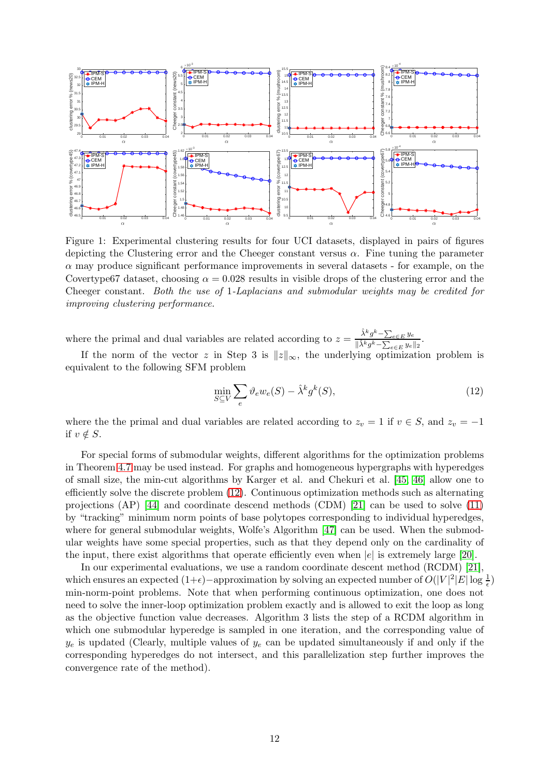<span id="page-11-1"></span>

Figure 1: Experimental clustering results for four UCI datasets, displayed in pairs of figures depicting the Clustering error and the Cheeger constant versus  $\alpha$ . Fine tuning the parameter  $\alpha$  may produce significant performance improvements in several datasets - for example, on the Covertype67 dataset, choosing  $\alpha = 0.028$  results in visible drops of the clustering error and the Cheeger constant. *Both the use of* 1*-Laplacians and submodular weights may be credited for improving clustering performance.*

where the primal and dual variables are related according to  $z = \frac{\hat{\lambda}^k g^k - \sum_{e \in E} y_e}{\|\hat{\lambda}\|_{k\leq k}}$  $\frac{\lambda}{\|\hat{\lambda}^k g^k - \sum_{e \in E} y_e\|_2}$ .

If the norm of the vector z in Step 3 is  $||z||_{\infty}$ , the underlying optimization problem is equivalent to the following SFM problem

<span id="page-11-0"></span>
$$
\min_{S \subseteq V} \sum_{e} \vartheta_e w_e(S) - \hat{\lambda}^k g^k(S),\tag{12}
$$

where the the primal and dual variables are related according to  $z_v = 1$  if  $v \in S$ , and  $z_v = -1$ if  $v \notin S$ .

For special forms of submodular weights, different algorithms for the optimization problems in Theorem [4.7](#page-10-2) may be used instead. For graphs and homogeneous hypergraphs with hyperedges of small size, the min-cut algorithms by Karger et al. and Chekuri et al. [\[45,](#page-15-13) [46\]](#page-15-14) allow one to efficiently solve the discrete problem [\(12\)](#page-11-0). Continuous optimization methods such as alternating projections (AP) [\[44\]](#page-15-12) and coordinate descend methods (CDM) [\[21\]](#page-14-5) can be used to solve [\(11\)](#page-10-4) by "tracking" minimum norm points of base polytopes corresponding to individual hyperedges, where for general submodular weights, Wolfe's Algorithm [\[47\]](#page-15-15) can be used. When the submodular weights have some special properties, such as that they depend only on the cardinality of the input, there exist algorithms that operate efficiently even when  $|e|$  is extremely large [\[20\]](#page-14-4).

In our experimental evaluations, we use a random coordinate descent method (RCDM) [\[21\]](#page-14-5), which ensures an expected  $(1+\epsilon)$  –approximation by solving an expected number of  $O(|V|^2|E|\log\frac{1}{\epsilon})$ min-norm-point problems. Note that when performing continuous optimization, one does not need to solve the inner-loop optimization problem exactly and is allowed to exit the loop as long as the objective function value decreases. Algorithm 3 lists the step of a RCDM algorithm in which one submodular hyperedge is sampled in one iteration, and the corresponding value of  $y_e$  is updated (Clearly, multiple values of  $y_e$  can be updated simultaneously if and only if the corresponding hyperedges do not intersect, and this parallelization step further improves the convergence rate of the method).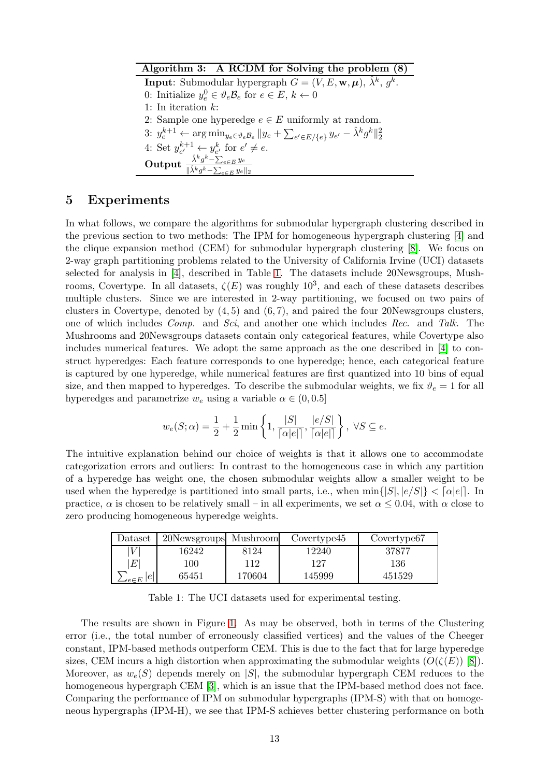| Algorithm 3: A RCDM for Solving the problem (8)                                                                                  |
|----------------------------------------------------------------------------------------------------------------------------------|
| <b>Input:</b> Submodular hypergraph $G = (V, E, \mathbf{w}, \boldsymbol{\mu})$ , $\hat{\lambda}^k$ , $q^k$ .                     |
| 0: Initialize $y_e^0 \in \vartheta_e \mathcal{B}_e$ for $e \in E, k \leftarrow 0$                                                |
| 1: In iteration $k$ :                                                                                                            |
| 2: Sample one hyperedge $e \in E$ uniformly at random.                                                                           |
| 3: $y_e^{k+1} \leftarrow \arg\min_{y_e \in \vartheta_e B_e}   y_e + \sum_{e' \in E / \{e\}} y_{e'} - \hat{\lambda}^k g^k   _2^2$ |
| 4: Set $y_{e'}^{k+1} \leftarrow y_{e'}^k$ for $e' \neq e$ .                                                                      |
| Output $\frac{\hat{\lambda}^k g^k - \sum_{e \in E} y_e}{\ \hat{\lambda}^k g^k - \sum_{e \in E} y_e\ _2}$                         |

# <span id="page-12-0"></span>5 Experiments

In what follows, we compare the algorithms for submodular hypergraph clustering described in the previous section to two methods: The IPM for homogeneous hypergraph clustering [\[4\]](#page-13-3) and the clique expansion method (CEM) for submodular hypergraph clustering [\[8\]](#page-13-7). We focus on 2-way graph partitioning problems related to the University of California Irvine (UCI) datasets selected for analysis in [\[4\]](#page-13-3), described in Table [1.](#page-12-1) The datasets include 20Newsgroups, Mushrooms, Covertype. In all datasets,  $\zeta(E)$  was roughly  $10^3$ , and each of these datasets describes multiple clusters. Since we are interested in 2-way partitioning, we focused on two pairs of clusters in Covertype, denoted by  $(4, 5)$  and  $(6, 7)$ , and paired the four 20Newsgroups clusters, one of which includes *Comp.* and *Sci*, and another one which includes *Rec.* and *Talk*. The Mushrooms and 20Newsgroups datasets contain only categorical features, while Covertype also includes numerical features. We adopt the same approach as the one described in [\[4\]](#page-13-3) to construct hyperedges: Each feature corresponds to one hyperedge; hence, each categorical feature is captured by one hyperedge, while numerical features are first quantized into 10 bins of equal size, and then mapped to hyperedges. To describe the submodular weights, we fix  $\vartheta_e = 1$  for all hyperedges and parametrize  $w_e$  using a variable  $\alpha \in (0, 0.5]$ 

$$
w_e(S; \alpha) = \frac{1}{2} + \frac{1}{2} \min \left\{ 1, \frac{|S|}{\lceil \alpha |e| \rceil}, \frac{|e/S|}{\lceil \alpha |e| \rceil} \right\}, \ \forall S \subseteq e.
$$

The intuitive explanation behind our choice of weights is that it allows one to accommodate categorization errors and outliers: In contrast to the homogeneous case in which any partition of a hyperedge has weight one, the chosen submodular weights allow a smaller weight to be used when the hyperedge is partitioned into small parts, i.e., when  $\min\{|S|, |e/S|\} < [\alpha|e|]$ . In practice,  $\alpha$  is chosen to be relatively small – in all experiments, we set  $\alpha \leq 0.04$ , with  $\alpha$  close to zero producing homogeneous hyperedge weights.

<span id="page-12-1"></span>

| Dataset                                | 20Newsgroups Mushroom |        | Covertype45 | Covertype <sup>67</sup> |
|----------------------------------------|-----------------------|--------|-------------|-------------------------|
| $\mathcal{W}$                          | 16242                 | 8124   | 12240       | 37877                   |
| E                                      | 100                   | 112    | 127         | 136                     |
| e <br>$\blacktriangleleft e{\in}E^{+}$ | 65451                 | 170604 | 145999      | 451529                  |

Table 1: The UCI datasets used for experimental testing.

The results are shown in Figure [1.](#page-11-1) As may be observed, both in terms of the Clustering error (i.e., the total number of erroneously classified vertices) and the values of the Cheeger constant, IPM-based methods outperform CEM. This is due to the fact that for large hyperedge sizes, CEM incurs a high distortion when approximating the submodular weights  $(O(\zeta(E))$  [\[8\]](#page-13-7)). Moreover, as  $w_e(S)$  depends merely on |S|, the submodular hypergraph CEM reduces to the homogeneous hypergraph CEM [\[3\]](#page-13-2), which is an issue that the IPM-based method does not face. Comparing the performance of IPM on submodular hypergraphs (IPM-S) with that on homogeneous hypergraphs (IPM-H), we see that IPM-S achieves better clustering performance on both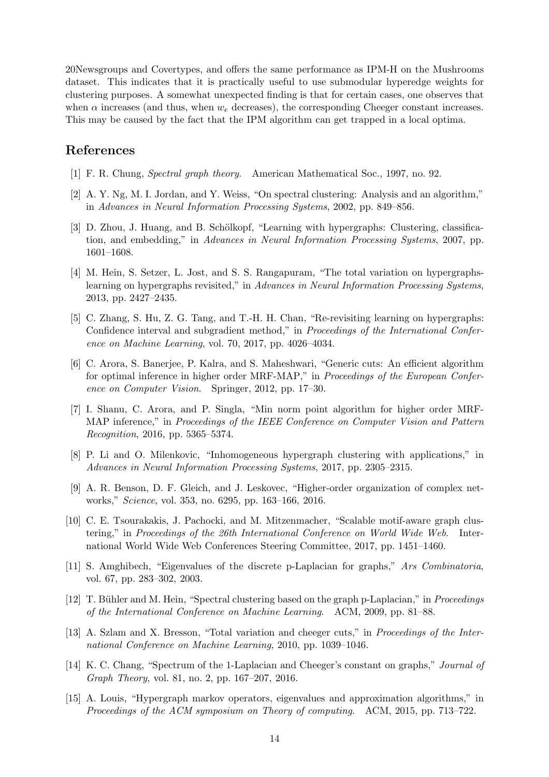20Newsgroups and Covertypes, and offers the same performance as IPM-H on the Mushrooms dataset. This indicates that it is practically useful to use submodular hyperedge weights for clustering purposes. A somewhat unexpected finding is that for certain cases, one observes that when  $\alpha$  increases (and thus, when  $w_e$  decreases), the corresponding Cheeger constant increases. This may be caused by the fact that the IPM algorithm can get trapped in a local optima.

# <span id="page-13-0"></span>References

- <span id="page-13-1"></span>[1] F. R. Chung, *Spectral graph theory*. American Mathematical Soc., 1997, no. 92.
- <span id="page-13-2"></span>[2] A. Y. Ng, M. I. Jordan, and Y. Weiss, "On spectral clustering: Analysis and an algorithm," in *Advances in Neural Information Processing Systems*, 2002, pp. 849–856.
- [3] D. Zhou, J. Huang, and B. Schölkopf, "Learning with hypergraphs: Clustering, classification, and embedding," in *Advances in Neural Information Processing Systems*, 2007, pp. 1601–1608.
- <span id="page-13-3"></span>[4] M. Hein, S. Setzer, L. Jost, and S. S. Rangapuram, "The total variation on hypergraphslearning on hypergraphs revisited," in *Advances in Neural Information Processing Systems*, 2013, pp. 2427–2435.
- <span id="page-13-4"></span>[5] C. Zhang, S. Hu, Z. G. Tang, and T.-H. H. Chan, "Re-revisiting learning on hypergraphs: Confidence interval and subgradient method," in *Proceedings of the International Conference on Machine Learning*, vol. 70, 2017, pp. 4026–4034.
- <span id="page-13-5"></span>[6] C. Arora, S. Banerjee, P. Kalra, and S. Maheshwari, "Generic cuts: An efficient algorithm for optimal inference in higher order MRF-MAP," in *Proceedings of the European Conference on Computer Vision*. Springer, 2012, pp. 17–30.
- <span id="page-13-6"></span>[7] I. Shanu, C. Arora, and P. Singla, "Min norm point algorithm for higher order MRF-MAP inference," in *Proceedings of the IEEE Conference on Computer Vision and Pattern Recognition*, 2016, pp. 5365–5374.
- <span id="page-13-8"></span><span id="page-13-7"></span>[8] P. Li and O. Milenkovic, "Inhomogeneous hypergraph clustering with applications," in *Advances in Neural Information Processing Systems*, 2017, pp. 2305–2315.
- <span id="page-13-9"></span>[9] A. R. Benson, D. F. Gleich, and J. Leskovec, "Higher-order organization of complex networks," *Science*, vol. 353, no. 6295, pp. 163–166, 2016.
- [10] C. E. Tsourakakis, J. Pachocki, and M. Mitzenmacher, "Scalable motif-aware graph clustering," in *Proceedings of the 26th International Conference on World Wide Web*. International World Wide Web Conferences Steering Committee, 2017, pp. 1451–1460.
- <span id="page-13-10"></span>[11] S. Amghibech, "Eigenvalues of the discrete p-Laplacian for graphs," *Ars Combinatoria*, vol. 67, pp. 283–302, 2003.
- <span id="page-13-11"></span>[12] T. B¨uhler and M. Hein, "Spectral clustering based on the graph p-Laplacian," in *Proceedings of the International Conference on Machine Learning*. ACM, 2009, pp. 81–88.
- <span id="page-13-12"></span>[13] A. Szlam and X. Bresson, "Total variation and cheeger cuts," in *Proceedings of the International Conference on Machine Learning*, 2010, pp. 1039–1046.
- <span id="page-13-13"></span>[14] K. C. Chang, "Spectrum of the 1-Laplacian and Cheeger's constant on graphs," *Journal of Graph Theory*, vol. 81, no. 2, pp. 167–207, 2016.
- <span id="page-13-14"></span>[15] A. Louis, "Hypergraph markov operators, eigenvalues and approximation algorithms," in *Proceedings of the ACM symposium on Theory of computing*. ACM, 2015, pp. 713–722.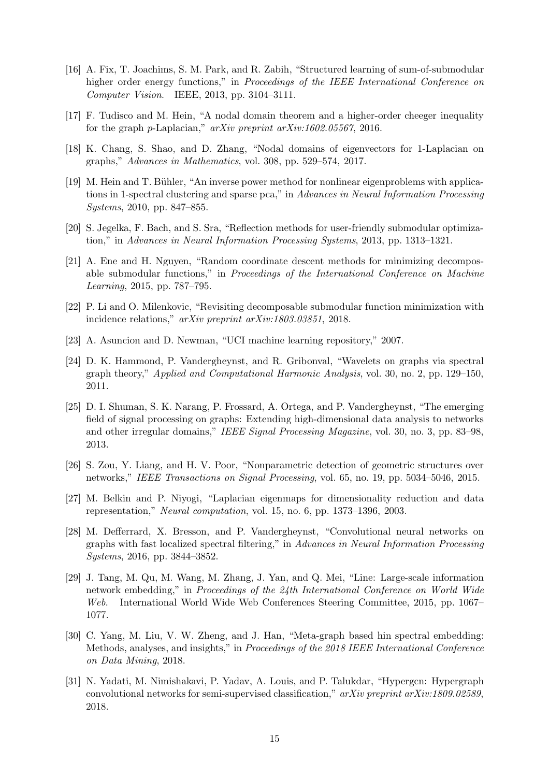- <span id="page-14-0"></span>[16] A. Fix, T. Joachims, S. M. Park, and R. Zabih, "Structured learning of sum-of-submodular higher order energy functions," in *Proceedings of the IEEE International Conference on Computer Vision*. IEEE, 2013, pp. 3104–3111.
- <span id="page-14-2"></span><span id="page-14-1"></span>[17] F. Tudisco and M. Hein, "A nodal domain theorem and a higher-order cheeger inequality for the graph p-Laplacian," *arXiv preprint arXiv:1602.05567*, 2016.
- <span id="page-14-3"></span>[18] K. Chang, S. Shao, and D. Zhang, "Nodal domains of eigenvectors for 1-Laplacian on graphs," *Advances in Mathematics*, vol. 308, pp. 529–574, 2017.
- [19] M. Hein and T. Bühler, "An inverse power method for nonlinear eigenproblems with applications in 1-spectral clustering and sparse pca," in *Advances in Neural Information Processing Systems*, 2010, pp. 847–855.
- <span id="page-14-5"></span><span id="page-14-4"></span>[20] S. Jegelka, F. Bach, and S. Sra, "Reflection methods for user-friendly submodular optimization," in *Advances in Neural Information Processing Systems*, 2013, pp. 1313–1321.
- [21] A. Ene and H. Nguyen, "Random coordinate descent methods for minimizing decomposable submodular functions," in *Proceedings of the International Conference on Machine Learning*, 2015, pp. 787–795.
- <span id="page-14-6"></span>[22] P. Li and O. Milenkovic, "Revisiting decomposable submodular function minimization with incidence relations," *arXiv preprint arXiv:1803.03851*, 2018.
- <span id="page-14-8"></span><span id="page-14-7"></span>[23] A. Asuncion and D. Newman, "UCI machine learning repository," 2007.
- [24] D. K. Hammond, P. Vandergheynst, and R. Gribonval, "Wavelets on graphs via spectral graph theory," *Applied and Computational Harmonic Analysis*, vol. 30, no. 2, pp. 129–150, 2011.
- <span id="page-14-9"></span>[25] D. I. Shuman, S. K. Narang, P. Frossard, A. Ortega, and P. Vandergheynst, "The emerging field of signal processing on graphs: Extending high-dimensional data analysis to networks and other irregular domains," *IEEE Signal Processing Magazine*, vol. 30, no. 3, pp. 83–98, 2013.
- <span id="page-14-10"></span>[26] S. Zou, Y. Liang, and H. V. Poor, "Nonparametric detection of geometric structures over networks," *IEEE Transactions on Signal Processing*, vol. 65, no. 19, pp. 5034–5046, 2015.
- <span id="page-14-11"></span>[27] M. Belkin and P. Niyogi, "Laplacian eigenmaps for dimensionality reduction and data representation," *Neural computation*, vol. 15, no. 6, pp. 1373–1396, 2003.
- <span id="page-14-12"></span>[28] M. Defferrard, X. Bresson, and P. Vandergheynst, "Convolutional neural networks on graphs with fast localized spectral filtering," in *Advances in Neural Information Processing Systems*, 2016, pp. 3844–3852.
- <span id="page-14-13"></span>[29] J. Tang, M. Qu, M. Wang, M. Zhang, J. Yan, and Q. Mei, "Line: Large-scale information network embedding," in *Proceedings of the 24th International Conference on World Wide Web*. International World Wide Web Conferences Steering Committee, 2015, pp. 1067– 1077.
- <span id="page-14-14"></span>[30] C. Yang, M. Liu, V. W. Zheng, and J. Han, "Meta-graph based hin spectral embedding: Methods, analyses, and insights," in *Proceedings of the 2018 IEEE International Conference on Data Mining*, 2018.
- <span id="page-14-15"></span>[31] N. Yadati, M. Nimishakavi, P. Yadav, A. Louis, and P. Talukdar, "Hypergcn: Hypergraph convolutional networks for semi-supervised classification," *arXiv preprint arXiv:1809.02589*, 2018.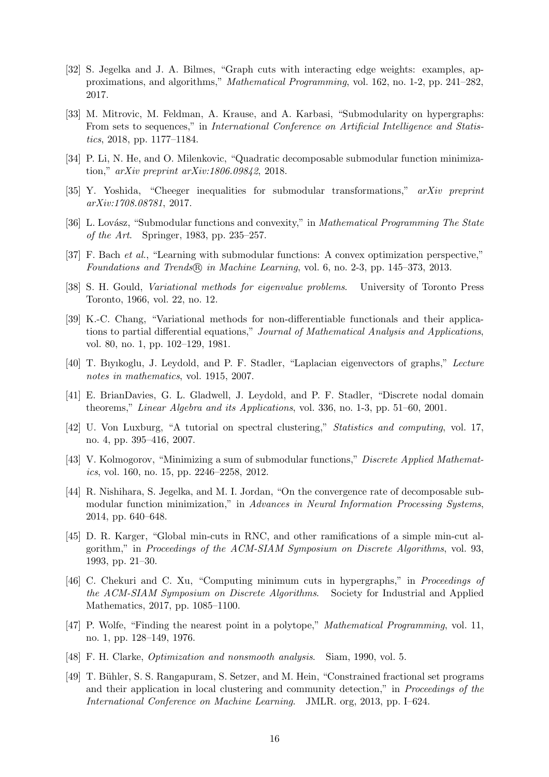- <span id="page-15-0"></span>[32] S. Jegelka and J. A. Bilmes, "Graph cuts with interacting edge weights: examples, approximations, and algorithms," *Mathematical Programming*, vol. 162, no. 1-2, pp. 241–282, 2017.
- <span id="page-15-1"></span>[33] M. Mitrovic, M. Feldman, A. Krause, and A. Karbasi, "Submodularity on hypergraphs: From sets to sequences," in *International Conference on Artificial Intelligence and Statistics*, 2018, pp. 1177–1184.
- <span id="page-15-3"></span><span id="page-15-2"></span>[34] P. Li, N. He, and O. Milenkovic, "Quadratic decomposable submodular function minimization," *arXiv preprint arXiv:1806.09842*, 2018.
- <span id="page-15-4"></span>[35] Y. Yoshida, "Cheeger inequalities for submodular transformations," *arXiv preprint arXiv:1708.08781*, 2017.
- <span id="page-15-5"></span>[36] L. Lovász, "Submodular functions and convexity," in *Mathematical Programming The State of the Art*. Springer, 1983, pp. 235–257.
- <span id="page-15-6"></span>[37] F. Bach *et al.*, "Learning with submodular functions: A convex optimization perspective," *Foundations and Trends*  $\circled{R}$  *in Machine Learning*, vol. 6, no. 2-3, pp. 145–373, 2013.
- <span id="page-15-7"></span>[38] S. H. Gould, *Variational methods for eigenvalue problems*. University of Toronto Press Toronto, 1966, vol. 22, no. 12.
- [39] K.-C. Chang, "Variational methods for non-differentiable functionals and their applications to partial differential equations," *Journal of Mathematical Analysis and Applications*, vol. 80, no. 1, pp. 102–129, 1981.
- <span id="page-15-9"></span><span id="page-15-8"></span>[40] T. Bıyıkoglu, J. Leydold, and P. F. Stadler, "Laplacian eigenvectors of graphs," *Lecture notes in mathematics*, vol. 1915, 2007.
- <span id="page-15-10"></span>[41] E. BrianDavies, G. L. Gladwell, J. Leydold, and P. F. Stadler, "Discrete nodal domain theorems," *Linear Algebra and its Applications*, vol. 336, no. 1-3, pp. 51–60, 2001.
- <span id="page-15-11"></span>[42] U. Von Luxburg, "A tutorial on spectral clustering," *Statistics and computing*, vol. 17, no. 4, pp. 395–416, 2007.
- [43] V. Kolmogorov, "Minimizing a sum of submodular functions," *Discrete Applied Mathematics*, vol. 160, no. 15, pp. 2246–2258, 2012.
- <span id="page-15-12"></span>[44] R. Nishihara, S. Jegelka, and M. I. Jordan, "On the convergence rate of decomposable submodular function minimization," in *Advances in Neural Information Processing Systems*, 2014, pp. 640–648.
- <span id="page-15-13"></span>[45] D. R. Karger, "Global min-cuts in RNC, and other ramifications of a simple min-cut algorithm," in *Proceedings of the ACM-SIAM Symposium on Discrete Algorithms*, vol. 93, 1993, pp. 21–30.
- <span id="page-15-14"></span>[46] C. Chekuri and C. Xu, "Computing minimum cuts in hypergraphs," in *Proceedings of the ACM-SIAM Symposium on Discrete Algorithms*. Society for Industrial and Applied Mathematics, 2017, pp. 1085–1100.
- <span id="page-15-15"></span>[47] P. Wolfe, "Finding the nearest point in a polytope," *Mathematical Programming*, vol. 11, no. 1, pp. 128–149, 1976.
- <span id="page-15-17"></span><span id="page-15-16"></span>[48] F. H. Clarke, *Optimization and nonsmooth analysis*. Siam, 1990, vol. 5.
- [49] T. Bühler, S. S. Rangapuram, S. Setzer, and M. Hein, "Constrained fractional set programs and their application in local clustering and community detection," in *Proceedings of the International Conference on Machine Learning*. JMLR. org, 2013, pp. I–624.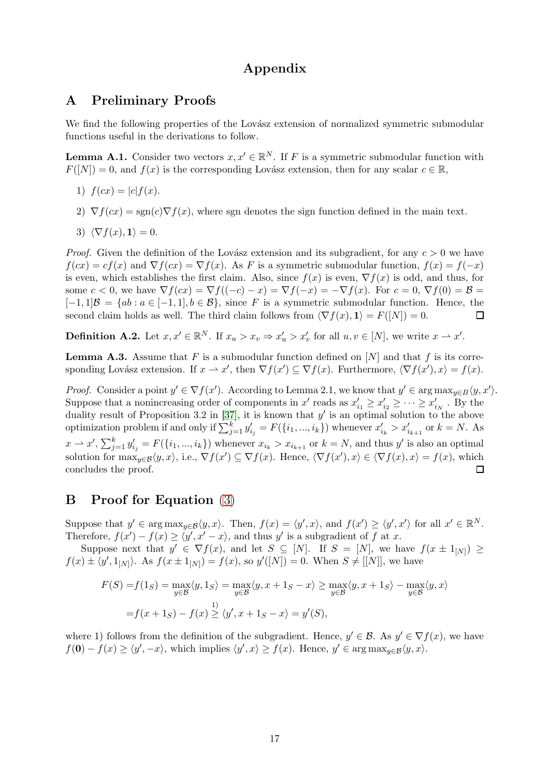# Appendix

## A Preliminary Proofs

We find the following properties of the Lovász extension of normalized symmetric submodular functions useful in the derivations to follow.

**Lemma A.1.** Consider two vectors  $x, x' \in \mathbb{R}^N$ . If F is a symmetric submodular function with  $F([N]) = 0$ , and  $f(x)$  is the corresponding Lovász extension, then for any scalar  $c \in \mathbb{R}$ ,

- 1)  $f(cx) = |c| f(x)$ .
- 2)  $\nabla f(cx) = \text{sgn}(c)\nabla f(x)$ , where sgn denotes the sign function defined in the main text.
- 3)  $\langle \nabla f(x), \mathbf{1} \rangle = 0.$

*Proof.* Given the definition of the Lovász extension and its subgradient, for any  $c > 0$  we have  $f(cx) = cf(x)$  and  $\nabla f(cx) = \nabla f(x)$ . As F is a symmetric submodular function,  $f(x) = f(-x)$ is even, which establishes the first claim. Also, since  $f(x)$  is even,  $\nabla f(x)$  is odd, and thus, for some  $c < 0$ , we have  $\nabla f(cx) = \nabla f((-c) - x) = \nabla f(-x) = -\nabla f(x)$ . For  $c = 0$ ,  $\nabla f(0) = \mathcal{B}$  $[-1, 1]\mathcal{B} = \{ab : a \in [-1, 1], b \in \mathcal{B}\},\$  since F is a symmetric submodular function. Hence, the second claim holds as well. The third claim follows from  $\langle \nabla f(x), \mathbf{1} \rangle = F(|N|) = 0.$ second claim holds as well. The third claim follows from  $\langle \nabla f(x), \mathbf{1} \rangle = F(|N|) = 0.$ 

**Definition A.2.** Let  $x, x' \in \mathbb{R}^N$ . If  $x_u > x_v \Rightarrow x'_u > x'_v$  for all  $u, v \in [N]$ , we write  $x \to x'$ .

<span id="page-16-0"></span>**Lemma A.3.** Assume that F is a submodular function defined on  $[N]$  and that f is its corresponding Lovász extension. If  $x \to x'$ , then  $\nabla f(x') \subseteq \nabla f(x)$ . Furthermore,  $\langle \nabla f(x'), x \rangle = f(x)$ .

*Proof.* Consider a point  $y' \in \nabla f(x')$ . According to Lemma 2.1, we know that  $y' \in \arg \max_{y \in B} \langle y, x' \rangle$ . Suppose that a nonincreasing order of components in  $x'$  reads as  $x'_{i_1} \ge x'_{i_2} \ge \cdots \ge x'_{i_N}$ . By the duality result of Proposition 3.2 in [\[37\]](#page-15-5), it is known that  $y'$  is an optimal solution to the above optimization problem if and only if  $\sum_{j=1}^k y'_{i_j} = F(\{i_1, ..., i_k\})$  whenever  $x'_{i_k} > x'_{i_{k+1}}$  or  $k = N$ . As  $x \to x'$ ,  $\sum_{j=1}^k y'_{ij} = F(\{i_1, ..., i_k\})$  whenever  $x_{i_k} > x_{i_{k+1}}$  or  $k = N$ , and thus y' is also an optimal solution for  $\max_{y \in \mathcal{B}} \langle y, x \rangle$ , i.e.,  $\nabla f(x') \subseteq \nabla f(x)$ . Hence,  $\langle \nabla f(x'), x \rangle \in \langle \nabla f(x), x \rangle = f(x)$ , which concludes the proof.

# B Proof for Equation [\(3\)](#page-4-1)

Suppose that  $y' \in \arg \max_{y \in \mathcal{B}} \langle y, x \rangle$ . Then,  $f(x) = \langle y', x \rangle$ , and  $f(x') \ge \langle y', x' \rangle$  for all  $x' \in \mathbb{R}^N$ . Therefore,  $f(x') - f(x) \ge \langle y', x' - x \rangle$ , and thus y' is a subgradient of f at x.

Suppose next that  $y' \in \nabla f(x)$ , and let  $S \subseteq [N]$ . If  $S = [N]$ , we have  $f(x \pm 1_{N}] \ge$  $f(x) \pm \langle y', 1_{[N]} \rangle$ . As  $f(x \pm 1_{[N]}) = f(x)$ , so  $y'([N]) = 0$ . When  $S \neq [[N]]$ , we have

$$
F(S) = f(1_S) = \max_{y \in \mathcal{B}} \langle y, 1_S \rangle = \max_{y \in \mathcal{B}} \langle y, x + 1_S - x \rangle \ge \max_{y \in \mathcal{B}} \langle y, x + 1_S \rangle - \max_{y \in \mathcal{B}} \langle y, x \rangle
$$

$$
= f(x + 1_S) - f(x) \ge \langle y', x + 1_S - x \rangle = y'(S),
$$

where 1) follows from the definition of the subgradient. Hence,  $y' \in \mathcal{B}$ . As  $y' \in \nabla f(x)$ , we have  $f(\mathbf{0}) - f(x) \ge \langle y', -x \rangle$ , which implies  $\langle y', x \rangle \ge f(x)$ . Hence,  $y' \in \arg \max_{y \in \mathcal{B}} \langle y, x \rangle$ .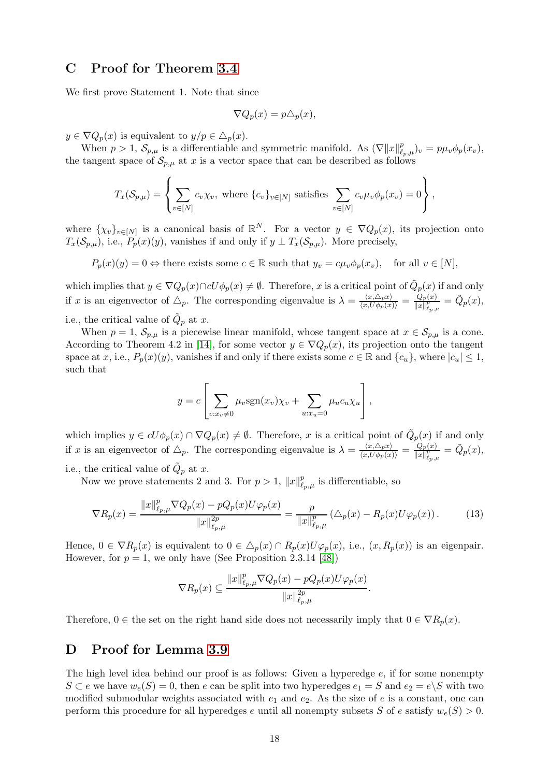## C Proof for Theorem [3.4](#page-5-1)

We first prove Statement 1. Note that since

$$
\nabla Q_p(x) = p \triangle_p(x),
$$

 $y \in \nabla Q_p(x)$  is equivalent to  $y/p \in \Delta_p(x)$ .

When  $p > 1$ ,  $\mathcal{S}_{p,\mu}$  is a differentiable and symmetric manifold. As  $(\nabla ||x||_{\ell_p,\mu}^p)_v = p\mu_v \phi_p(x_v)$ , the tangent space of  $\mathcal{S}_{p,\mu}$  at x is a vector space that can be described as follows

$$
T_x(\mathcal{S}_{p,\mu}) = \left\{ \sum_{v \in [N]} c_v \chi_v, \text{ where } \{c_v\}_{v \in [N]} \text{ satisfies } \sum_{v \in [N]} c_v \mu_v \phi_p(x_v) = 0 \right\},\
$$

where  $\{\chi_v\}_{v\in[N]}$  is a canonical basis of  $\mathbb{R}^N$ . For a vector  $y \in \nabla Q_p(x)$ , its projection onto  $T_x(\mathcal{S}_{p,\mu})$ , i.e.,  $P_p(x)(y)$ , vanishes if and only if  $y \perp T_x(\mathcal{S}_{p,\mu})$ . More precisely,

 $P_p(x)(y) = 0 \Leftrightarrow$  there exists some  $c \in \mathbb{R}$  such that  $y_v = c\mu_v \phi_p(x_v)$ , for all  $v \in [N]$ ,

which implies that  $y \in \nabla Q_p(x) \cap cU\phi_p(x) \neq \emptyset$ . Therefore, x is a critical point of  $\tilde{Q}_p(x)$  if and only if x is an eigenvector of  $\Delta_p$ . The corresponding eigenvalue is  $\lambda = \frac{\langle x, \Delta_p x \rangle}{\langle x, U \phi_p(x) \rangle} = \frac{Q_p(x)}{\|x\|_{\ell_{p,q}}^p}$  $\frac{Q_p(x)}{\|x\|_{\ell_p,\mu}^p} = \tilde{Q}_p(x),$ i.e., the critical value of  $\tilde{Q}_p$  at x.

When  $p = 1$ ,  $\mathcal{S}_{p,\mu}$  is a piecewise linear manifold, whose tangent space at  $x \in \mathcal{S}_{p,\mu}$  is a cone. According to Theorem 4.2 in [\[14\]](#page-13-13), for some vector  $y \in \nabla Q_p(x)$ , its projection onto the tangent space at x, i.e.,  $P_p(x)(y)$ , vanishes if and only if there exists some  $c \in \mathbb{R}$  and  $\{c_u\}$ , where  $|c_u| \leq 1$ , such that

$$
y = c \left[ \sum_{v:x_v \neq 0} \mu_v \text{sgn}(x_v) \chi_v + \sum_{u:x_u = 0} \mu_u c_u \chi_u \right],
$$

which implies  $y \in cU\phi_p(x) \cap \nabla Q_p(x) \neq \emptyset$ . Therefore, x is a critical point of  $\tilde{Q}_p(x)$  if and only if x is an eigenvector of  $\Delta_p$ . The corresponding eigenvalue is  $\lambda = \frac{\langle x, \Delta_p x \rangle}{\langle x, U \phi_p(x) \rangle} = \frac{Q_p(x)}{\|x\|_{\ell_p}^p}$  $\frac{Q_p(x)}{\|x\|_{\ell_p,\mu}^p} = \tilde{Q}_p(x),$ i.e., the critical value of  $\tilde{Q}_p$  at x.

Now we prove statements 2 and 3. For  $p > 1$ ,  $||x||_{\ell_p,\mu}^p$  is differentiable, so

$$
\nabla R_p(x) = \frac{\|x\|_{\ell_p,\mu}^p \nabla Q_p(x) - pQ_p(x)U\varphi_p(x)}{\|x\|_{\ell_p,\mu}^{2p}} = \frac{p}{\|x\|_{\ell_p,\mu}^p} \left(\Delta_p(x) - R_p(x)U\varphi_p(x)\right). \tag{13}
$$

Hence,  $0 \in \nabla R_p(x)$  is equivalent to  $0 \in \Delta_p(x) \cap R_p(x)U\varphi_p(x)$ , i.e.,  $(x, R_p(x))$  is an eigenpair. However, for  $p = 1$ , we only have (See Proposition 2.3.14 [\[48\]](#page-15-16))

$$
\nabla R_p(x) \subseteq \frac{\|x\|_{\ell_p,\mu}^p \nabla Q_p(x) - pQ_p(x)U\varphi_p(x)}{\|x\|_{\ell_p,\mu}^{2p}}.
$$

Therefore,  $0 \in$  the set on the right hand side does not necessarily imply that  $0 \in \nabla R_p(x)$ .

## D Proof for Lemma [3.9](#page-7-0)

The high level idea behind our proof is as follows: Given a hyperedge  $e$ , if for some nonempty  $S \subset e$  we have  $w_e(S) = 0$ , then e can be split into two hyperedges  $e_1 = S$  and  $e_2 = e\backslash S$  with two modified submodular weights associated with  $e_1$  and  $e_2$ . As the size of e is a constant, one can perform this procedure for all hyperedges e until all nonempty subsets S of e satisfy  $w_e(S) > 0$ .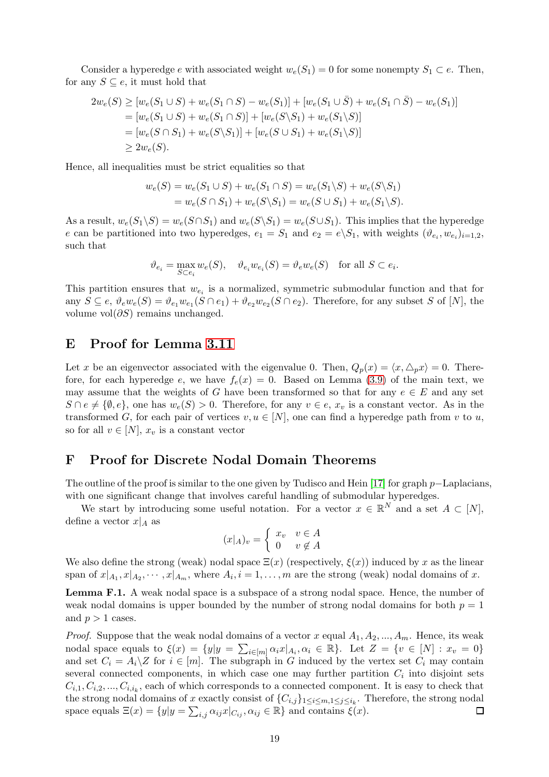Consider a hyperedge e with associated weight  $w_e(S_1) = 0$  for some nonempty  $S_1 \subset e$ . Then, for any  $S \subseteq e$ , it must hold that

$$
2w_e(S) \ge [w_e(S_1 \cup S) + w_e(S_1 \cap S) - w_e(S_1)] + [w_e(S_1 \cup \overline{S}) + w_e(S_1 \cap \overline{S}) - w_e(S_1)]
$$
  
=  $[w_e(S_1 \cup S) + w_e(S_1 \cap S)] + [w_e(S \setminus S_1) + w_e(S_1 \setminus S)]$   
=  $[w_e(S \cap S_1) + w_e(S \setminus S_1)] + [w_e(S \cup S_1) + w_e(S_1 \setminus S)]$   
 $\ge 2w_e(S).$ 

Hence, all inequalities must be strict equalities so that

$$
w_e(S) = w_e(S_1 \cup S) + w_e(S_1 \cap S) = w_e(S_1 \setminus S) + w_e(S \setminus S_1)
$$
  
=  $w_e(S \cap S_1) + w_e(S \setminus S_1) = w_e(S \cup S_1) + w_e(S_1 \setminus S).$ 

As a result,  $w_e(S_1 \backslash S) = w_e(S \cap S_1)$  and  $w_e(S \backslash S_1) = w_e(S \cup S_1)$ . This implies that the hyperedge e can be partitioned into two hyperedges,  $e_1 = S_1$  and  $e_2 = e \setminus S_1$ , with weights  $(\vartheta_{e_i}, w_{e_i})_{i=1,2}$ , such that

$$
\vartheta_{e_i} = \max_{S \subset e_i} w_e(S), \quad \vartheta_{e_i} w_{e_i}(S) = \vartheta_e w_e(S) \quad \text{for all } S \subset e_i.
$$

This partition ensures that  $w_{e_i}$  is a normalized, symmetric submodular function and that for any  $S \subseteq e$ ,  $\vartheta_e w_e(S) = \vartheta_{e_1} w_{e_1}(S \cap e_1) + \vartheta_{e_2} w_{e_2}(S \cap e_2)$ . Therefore, for any subset S of [N], the volume vol $(\partial S)$  remains unchanged.

#### E Proof for Lemma [3.11](#page-7-1)

Let x be an eigenvector associated with the eigenvalue 0. Then,  $Q_p(x) = \langle x, \triangle_p x \rangle = 0$ . Therefore, for each hyperedge e, we have  $f_e(x) = 0$ . Based on Lemma [\(3.9\)](#page-7-0) of the main text, we may assume that the weights of G have been transformed so that for any  $e \in E$  and any set  $S \cap e \neq \{\emptyset, e\}$ , one has  $w_e(S) > 0$ . Therefore, for any  $v \in e$ ,  $x_v$  is a constant vector. As in the transformed G, for each pair of vertices  $v, u \in [N]$ , one can find a hyperedge path from v to u, so for all  $v \in [N]$ ,  $x_v$  is a constant vector

# F Proof for Discrete Nodal Domain Theorems

The outline of the proof is similar to the one given by Tudisco and Hein [\[17\]](#page-14-1) for graph p–Laplacians, with one significant change that involves careful handling of submodular hyperedges.

We start by introducing some useful notation. For a vector  $x \in \mathbb{R}^N$  and a set  $A \subset [N]$ , define a vector  $x|_A$  as

$$
(x|_A)_v = \begin{cases} x_v & v \in A \\ 0 & v \notin A \end{cases}
$$

We also define the strong (weak) nodal space  $\Xi(x)$  (respectively,  $\xi(x)$ ) induced by x as the linear span of  $x|_{A_1}, x|_{A_2}, \cdots, x|_{A_m}$ , where  $A_i, i = 1, \ldots, m$  are the strong (weak) nodal domains of x.

<span id="page-18-0"></span>Lemma F.1. A weak nodal space is a subspace of a strong nodal space. Hence, the number of weak nodal domains is upper bounded by the number of strong nodal domains for both  $p = 1$ and  $p > 1$  cases.

*Proof.* Suppose that the weak nodal domains of a vector x equal  $A_1, A_2, ..., A_m$ . Hence, its weak nodal space equals to  $\xi(x) = \{y | y = \sum_{i \in [m]} \alpha_i x | A_i, \alpha_i \in \mathbb{R} \}$ . Let  $Z = \{v \in [N] : x_v = 0\}$ and set  $C_i = A_i \setminus Z$  for  $i \in [m]$ . The subgraph in G induced by the vertex set  $C_i$  may contain several connected components, in which case one may further partition  $C_i$  into disjoint sets  $C_{i,1}, C_{i,2}, ..., C_{i,i_k}$ , each of which corresponds to a connected component. It is easy to check that the strong nodal domains of x exactly consist of  $\{C_{i,j}\}_{1\leq i\leq m,1\leq j\leq i_k}$ . Therefore, the strong nodal space equals  $\Xi(x) = \{y | y = \sum_{i,j} \alpha_{ij} x | C_{ij}, \alpha_{ij} \in \mathbb{R}\}\$  and contains  $\xi(x)$ . □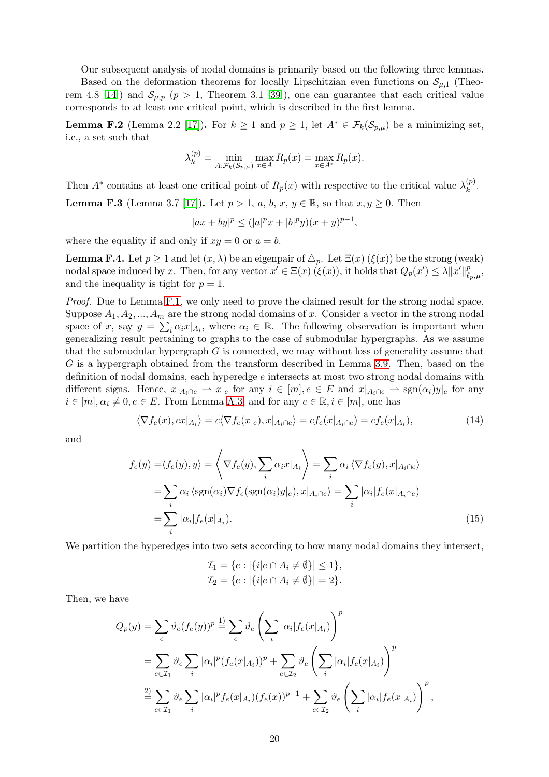Our subsequent analysis of nodal domains is primarily based on the following three lemmas.

Based on the deformation theorems for locally Lipschitzian even functions on  $\mathcal{S}_{\mu,1}$  (Theo-rem 4.8 [\[14\]](#page-13-13)) and  $S_{\mu,p}$  ( $p > 1$ , Theorem 3.1 [\[39\]](#page-15-7)), one can guarantee that each critical value corresponds to at least one critical point, which is described in the first lemma.

<span id="page-19-4"></span>**Lemma F.2** (Lemma 2.2 [\[17\]](#page-14-1)). For  $k \ge 1$  and  $p \ge 1$ , let  $A^* \in \mathcal{F}_k(\mathcal{S}_{p,\mu})$  be a minimizing set, i.e., a set such that

$$
\lambda_k^{(p)} = \min_{A:\mathcal{F}_k(\mathcal{S}_{p,\mu})} \max_{x \in A} R_p(x) = \max_{x \in A^*} R_p(x).
$$

Then  $A^*$  contains at least one critical point of  $R_p(x)$  with respective to the critical value  $\lambda_k^{(p)}$  $\binom{p}{k}$ .

<span id="page-19-2"></span>**Lemma F.3** (Lemma 3.7 [\[17\]](#page-14-1)). Let  $p > 1$ ,  $a, b, x, y \in \mathbb{R}$ , so that  $x, y \ge 0$ . Then

$$
|ax + by|^p \le (|a|^p x + |b|^p y)(x + y)^{p-1},
$$

where the equality if and only if  $xy = 0$  or  $a = b$ .

<span id="page-19-3"></span>**Lemma F.4.** Let  $p \ge 1$  and let  $(x, \lambda)$  be an eigenpair of  $\Delta_p$ . Let  $\Xi(x)$  ( $\xi(x)$ ) be the strong (weak) nodal space induced by x. Then, for any vector  $x' \in \Xi(x)$   $(\xi(x))$ , it holds that  $Q_p(x') \leq \lambda ||x'||_{{\ell}}^p$  $_{\ell_p,\mu}^p,$ and the inequality is tight for  $p = 1$ .

*Proof.* Due to Lemma [F.1,](#page-18-0) we only need to prove the claimed result for the strong nodal space. Suppose  $A_1, A_2, ..., A_m$  are the strong nodal domains of x. Consider a vector in the strong nodal space of x, say  $y = \sum_i \alpha_i x |_{A_i}$ , where  $\alpha_i \in \mathbb{R}$ . The following observation is important when generalizing result pertaining to graphs to the case of submodular hypergraphs. As we assume that the submodular hypergraph  $G$  is connected, we may without loss of generality assume that G is a hypergraph obtained from the transform described in Lemma [3.9.](#page-7-0) Then, based on the definition of nodal domains, each hyperedge e intersects at most two strong nodal domains with different signs. Hence,  $x|_{A_i \cap e} \to x|_{e}$  for any  $i \in [m], e \in E$  and  $x|_{A_i \cap e} \to \text{sgn}(\alpha_i) y|_{e}$  for any  $i \in [m], \alpha_i \neq 0, e \in E$ . From Lemma [A.3,](#page-16-0) and for any  $c \in \mathbb{R}, i \in [m]$ , one has

$$
\langle \nabla f_e(x), cx |_{A_i} \rangle = c \langle \nabla f_e(x|_e), x |_{A_i \cap e} \rangle = cf_e(x|_{A_i \cap e}) = cf_e(x|_{A_i}), \tag{14}
$$

and

$$
f_e(y) = \langle f_e(y), y \rangle = \left\langle \nabla f_e(y), \sum_i \alpha_i x |_{A_i} \right\rangle = \sum_i \alpha_i \left\langle \nabla f_e(y), x |_{A_i \cap e} \right\rangle
$$
  
= 
$$
\sum_i \alpha_i \left\langle \text{sgn}(\alpha_i) \nabla f_e(\text{sgn}(\alpha_i) y |_{e}), x |_{A_i \cap e} \right\rangle = \sum_i |\alpha_i| f_e(x |_{A_i \cap e})
$$
  
= 
$$
\sum_i |\alpha_i| f_e(x |_{A_i}).
$$
 (15)

We partition the hyperedges into two sets according to how many nodal domains they intersect,

<span id="page-19-1"></span><span id="page-19-0"></span>
$$
\mathcal{I}_1 = \{ e : |\{ i | e \cap A_i \neq \emptyset \}| \leq 1 \}, \n\mathcal{I}_2 = \{ e : |\{ i | e \cap A_i \neq \emptyset \}| = 2 \}.
$$

Then, we have

$$
Q_p(y) = \sum_e \vartheta_e(f_e(y))^p \stackrel{1}{=} \sum_e \vartheta_e \left(\sum_i |\alpha_i| f_e(x|_{A_i})\right)^p
$$
  
= 
$$
\sum_{e \in \mathcal{I}_1} \vartheta_e \sum_i |\alpha_i|^p (f_e(x|_{A_i}))^p + \sum_{e \in \mathcal{I}_2} \vartheta_e \left(\sum_i |\alpha_i| f_e(x|_{A_i})\right)^p
$$
  

$$
\stackrel{2)}{=} \sum_{e \in \mathcal{I}_1} \vartheta_e \sum_i |\alpha_i|^p f_e(x|_{A_i}) (f_e(x))^{p-1} + \sum_{e \in \mathcal{I}_2} \vartheta_e \left(\sum_i |\alpha_i| f_e(x|_{A_i})\right)^p,
$$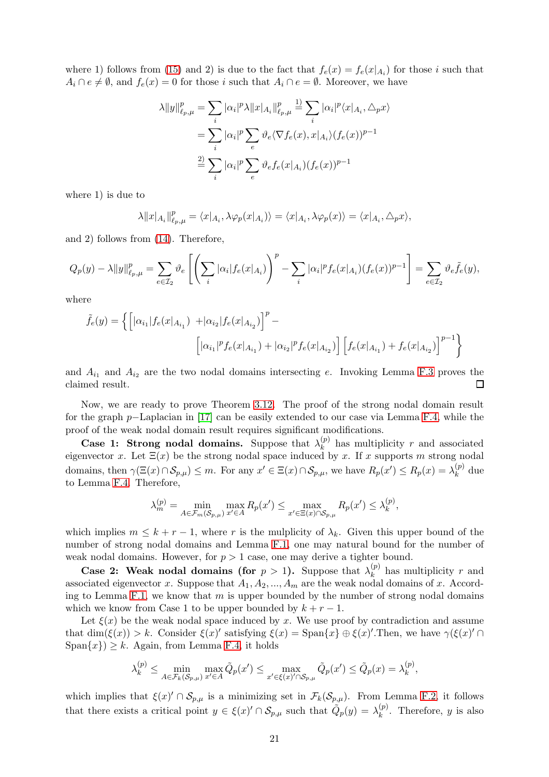where 1) follows from [\(15\)](#page-19-0) and 2) is due to the fact that  $f_e(x) = f_e(x|_{A_i})$  for those i such that  $A_i \cap e \neq \emptyset$ , and  $f_e(x) = 0$  for those i such that  $A_i \cap e = \emptyset$ . Moreover, we have

$$
\lambda \|y\|_{\ell_p,\mu}^p = \sum_i |\alpha_i|^p \lambda \|x|_{A_i}\|_{\ell_p,\mu}^p \stackrel{1)}{=} \sum_i |\alpha_i|^p \langle x|_{A_i}, \Delta_p x \rangle
$$
  

$$
= \sum_i |\alpha_i|^p \sum_e \vartheta_e \langle \nabla f_e(x), x|_{A_i} \rangle (f_e(x))^{p-1}
$$
  

$$
\stackrel{2)}{=} \sum_i |\alpha_i|^p \sum_e \vartheta_e f_e(x|_{A_i}) (f_e(x))^{p-1}
$$

where 1) is due to

$$
\lambda ||x|_{A_i}||_{\ell_p,\mu}^p = \langle x|_{A_i}, \lambda \varphi_p(x|_{A_i}) \rangle = \langle x|_{A_i}, \lambda \varphi_p(x) \rangle = \langle x|_{A_i}, \Delta_p x \rangle,
$$

and 2) follows from [\(14\)](#page-19-1). Therefore,

$$
Q_p(y) - \lambda \|y\|_{\ell_p,\mu}^p = \sum_{e \in \mathcal{I}_2} \vartheta_e \left[ \left( \sum_i |\alpha_i| f_e(x|_{A_i}) \right)^p - \sum_i |\alpha_i|^p f_e(x|_{A_i}) (f_e(x))^{p-1} \right] = \sum_{e \in \mathcal{I}_2} \vartheta_e \tilde{f}_e(y),
$$

where

$$
\tilde{f}_e(y) = \left\{ \left[ |\alpha_{i_1}| f_e(x|_{A_{i_1}}) + |\alpha_{i_2}| f_e(x|_{A_{i_2}}) \right]^p - \left[ |\alpha_{i_1}|^p f_e(x|_{A_{i_1}}) + |\alpha_{i_2}|^p f_e(x|_{A_{i_2}}) \right] \left[ f_e(x|_{A_{i_1}}) + f_e(x|_{A_{i_2}}) \right]^{p-1} \right\}
$$

and  $A_{i_1}$  and  $A_{i_2}$  are the two nodal domains intersecting e. Invoking Lemma [F.3](#page-19-2) proves the claimed result.  $\Box$ 

Now, we are ready to prove Theorem [3.12.](#page-7-2) The proof of the strong nodal domain result for the graph p−Laplacian in [\[17\]](#page-14-1) can be easily extended to our case via Lemma [F.4,](#page-19-3) while the proof of the weak nodal domain result requires significant modifications.

Case 1: Strong nodal domains. Suppose that  $\lambda_k^{(p)}$  $\binom{p}{k}$  has multiplicity r and associated eigenvector x. Let  $\Xi(x)$  be the strong nodal space induced by x. If x supports m strong nodal domains, then  $\gamma(\Xi(x) \cap \mathcal{S}_{p,\mu}) \leq m$ . For any  $x' \in \Xi(x) \cap \mathcal{S}_{p,\mu}$ , we have  $R_p(x') \leq R_p(x) = \lambda_k^{(p)}$  $k^{(p)}$  due to Lemma [F.4.](#page-19-3) Therefore,

$$
\lambda_m^{(p)} = \min_{A \in \mathcal{F}_m(\mathcal{S}_{p,\mu})} \max_{x' \in A} R_p(x') \le \max_{x' \in \Xi(x) \cap \mathcal{S}_{p,\mu}} R_p(x') \le \lambda_k^{(p)},
$$

which implies  $m \leq k + r - 1$ , where r is the mulplicity of  $\lambda_k$ . Given this upper bound of the number of strong nodal domains and Lemma [F.1,](#page-18-0) one may natural bound for the number of weak nodal domains. However, for  $p > 1$  case, one may derive a tighter bound.

Case 2: Weak nodal domains (for  $p > 1$ ). Suppose that  $\lambda_k^{(p)}$  $\binom{p}{k}$  has multiplicity r and associated eigenvector x. Suppose that  $A_1, A_2, ..., A_m$  are the weak nodal domains of x. Accord-ing to Lemma [F.1,](#page-18-0) we know that m is upper bounded by the number of strong nodal domains which we know from Case 1 to be upper bounded by  $k + r - 1$ .

Let  $\xi(x)$  be the weak nodal space induced by x. We use proof by contradiction and assume that  $\dim(\xi(x)) > k$ . Consider  $\xi(x)'$  satisfying  $\xi(x) = \text{Span}\{x\} \oplus \xi(x)'$ . Then, we have  $\gamma(\xi(x)') \cap \xi(x)$  $\text{Span}\{x\} \geq k$ . Again, from Lemma [F.4,](#page-19-3) it holds

$$
\lambda_k^{(p)} \le \min_{A \in \mathcal{F}_k(\mathcal{S}_{p,\mu})} \max_{x' \in A} \tilde{Q}_p(x') \le \max_{x' \in \xi(x)' \cap \mathcal{S}_{p,\mu}} \tilde{Q}_p(x') \le \tilde{Q}_p(x) = \lambda_k^{(p)},
$$

which implies that  $\xi(x) \cap S_{p,\mu}$  is a minimizing set in  $\mathcal{F}_k(S_{p,\mu})$ . From Lemma [F.2,](#page-19-4) it follows that there exists a critical point  $y \in \xi(x)' \cap S_{p,\mu}$  such that  $\tilde{Q}_p(y) = \lambda_k^{(p)}$  $\binom{y}{k}$ . Therefore, y is also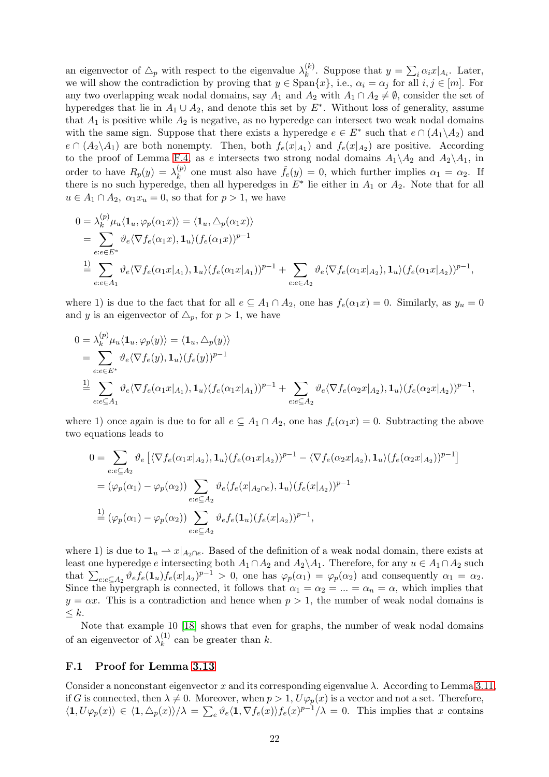an eigenvector of  $\triangle_p$  with respect to the eigenvalue  $\lambda_k^{(k)}$  $\chi_k^{(k)}$ . Suppose that  $y = \sum_i \alpha_i x |_{A_i}$ . Later, we will show the contradiction by proving that  $y \in \text{Span}\{x\}$ , i.e.,  $\alpha_i = \alpha_j$  for all  $i, j \in [m]$ . For any two overlapping weak nodal domains, say  $A_1$  and  $A_2$  with  $A_1 \cap A_2 \neq \emptyset$ , consider the set of hyperedges that lie in  $A_1 \cup A_2$ , and denote this set by  $E^*$ . Without loss of generality, assume that  $A_1$  is positive while  $A_2$  is negative, as no hyperedge can intersect two weak nodal domains with the same sign. Suppose that there exists a hyperedge  $e \in E^*$  such that  $e \cap (A_1 \backslash A_2)$  and  $e \cap (A_2 \setminus A_1)$  are both nonempty. Then, both  $f_e(x|_{A_1})$  and  $f_e(x|_{A_2})$  are positive. According to the proof of Lemma [F.4,](#page-19-3) as e intersects two strong nodal domains  $A_1 \setminus A_2$  and  $A_2 \setminus A_1$ , in order to have  $R_p(y) = \lambda_k^{(p)}$  $\binom{p}{k}$  one must also have  $\tilde{f}_e(y) = 0$ , which further implies  $\alpha_1 = \alpha_2$ . If there is no such hyperedge, then all hyperedges in  $E^*$  lie either in  $A_1$  or  $A_2$ . Note that for all  $u \in A_1 \cap A_2$ ,  $\alpha_1 x_u = 0$ , so that for  $p > 1$ , we have

$$
0 = \lambda_k^{(p)} \mu_u \langle \mathbf{1}_u, \varphi_p(\alpha_1 x) \rangle = \langle \mathbf{1}_u, \Delta_p(\alpha_1 x) \rangle
$$
  
= 
$$
\sum_{e:e \in E^*} \vartheta_e \langle \nabla f_e(\alpha_1 x), \mathbf{1}_u \rangle (f_e(\alpha_1 x))^{p-1}
$$
  

$$
\stackrel{1)}{=} \sum_{e:e \in A_1} \vartheta_e \langle \nabla f_e(\alpha_1 x |_{A_1}), \mathbf{1}_u \rangle (f_e(\alpha_1 x |_{A_1}))^{p-1} + \sum_{e:e \in A_2} \vartheta_e \langle \nabla f_e(\alpha_1 x |_{A_2}), \mathbf{1}_u \rangle (f_e(\alpha_1 x |_{A_2}))^{p-1},
$$

where 1) is due to the fact that for all  $e \subseteq A_1 \cap A_2$ , one has  $f_e(\alpha_1 x) = 0$ . Similarly, as  $y_u = 0$ and y is an eigenvector of  $\triangle_p$ , for  $p > 1$ , we have

$$
0 = \lambda_k^{(p)} \mu_u \langle \mathbf{1}_u, \varphi_p(y) \rangle = \langle \mathbf{1}_u, \Delta_p(y) \rangle
$$
  
= 
$$
\sum_{e:e \in E^*} \vartheta_e \langle \nabla f_e(y), \mathbf{1}_u \rangle (f_e(y))^{p-1}
$$
  

$$
\stackrel{1)}{=} \sum_{e:e \subseteq A_1} \vartheta_e \langle \nabla f_e(\alpha_1 x |_{A_1}), \mathbf{1}_u \rangle (f_e(\alpha_1 x |_{A_1}))^{p-1} + \sum_{e:e \subseteq A_2} \vartheta_e \langle \nabla f_e(\alpha_2 x |_{A_2}), \mathbf{1}_u \rangle (f_e(\alpha_2 x |_{A_2}))^{p-1},
$$

where 1) once again is due to for all  $e \subseteq A_1 \cap A_2$ , one has  $f_e(\alpha_1 x) = 0$ . Subtracting the above two equations leads to

$$
0 = \sum_{e:e\subseteq A_2} \vartheta_e \left[ \langle \nabla f_e(\alpha_1 x|_{A_2}), \mathbf{1}_u \rangle (f_e(\alpha_1 x|_{A_2}))^{p-1} - \langle \nabla f_e(\alpha_2 x|_{A_2}), \mathbf{1}_u \rangle (f_e(\alpha_2 x|_{A_2}))^{p-1} \right]
$$
  
\n
$$
= (\varphi_p(\alpha_1) - \varphi_p(\alpha_2)) \sum_{e:e\subseteq A_2} \vartheta_e \langle f_e(x|_{A_2 \cap e}), \mathbf{1}_u \rangle (f_e(x|_{A_2}))^{p-1}
$$
  
\n
$$
\stackrel{1)}{=} (\varphi_p(\alpha_1) - \varphi_p(\alpha_2)) \sum_{e:e\subseteq A_2} \vartheta_e f_e(\mathbf{1}_u) (f_e(x|_{A_2}))^{p-1},
$$

where 1) is due to  $\mathbf{1}_u \to x|_{A_2 \cap e}$ . Based of the definition of a weak nodal domain, there exists at least one hyperedge e intersecting both  $A_1 \cap A_2$  and  $A_2 \setminus A_1$ . Therefore, for any  $u \in A_1 \cap A_2$  such that  $\sum_{e:e\subseteq A_2} \vartheta_e f_e(\mathbf{1}_u) f_e(x|_{A_2})^{p-1} > 0$ , one has  $\varphi_p(\alpha_1) = \varphi_p(\alpha_2)$  and consequently  $\alpha_1 = \alpha_2$ . Since the hypergraph is connected, it follows that  $\alpha_1 = \alpha_2 = ... = \alpha_n = \alpha$ , which implies that  $y = \alpha x$ . This is a contradiction and hence when  $p > 1$ , the number of weak nodal domains is  $\leq k$ .

Note that example 10 [\[18\]](#page-14-2) shows that even for graphs, the number of weak nodal domains of an eigenvector of  $\lambda_k^{(1)}$  $k^{(1)}$  can be greater than k.

#### F.1 Proof for Lemma [3.13](#page-7-3)

Consider a nonconstant eigenvector x and its corresponding eigenvalue  $\lambda$ . According to Lemma [3.11,](#page-7-1) if G is connected, then  $\lambda \neq 0$ . Moreover, when  $p > 1$ ,  $U\varphi_p(x)$  is a vector and not a set. Therefore,  $\langle 1, U\varphi_p(x)\rangle \in \langle 1, \Delta_p(x)\rangle/\lambda = \sum_e \vartheta_e\langle 1, \nabla f_e(x)\rangle f_e(x)^{p-1}/\lambda = 0$ . This implies that x contains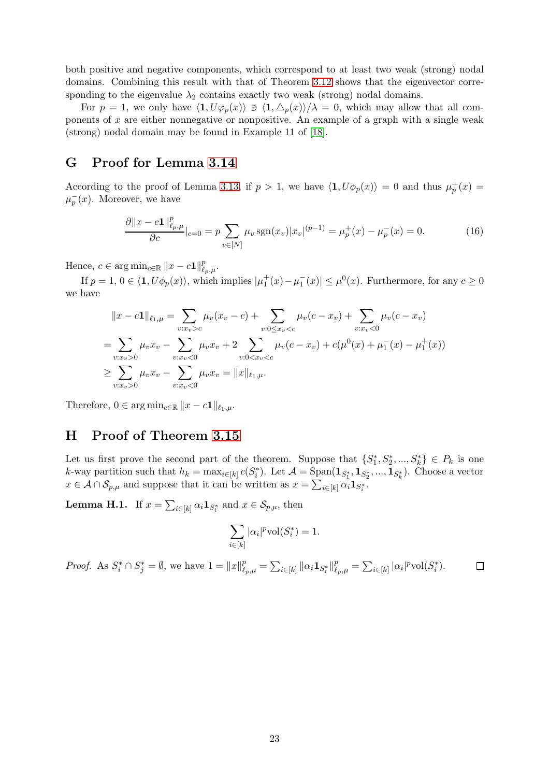both positive and negative components, which correspond to at least two weak (strong) nodal domains. Combining this result with that of Theorem [3.12](#page-7-2) shows that the eigenvector corresponding to the eigenvalue  $\lambda_2$  contains exactly two weak (strong) nodal domains.

For  $p = 1$ , we only have  $\langle 1, U\varphi_p(x)\rangle \ni \langle 1, \Delta_p(x)\rangle / \lambda = 0$ , which may allow that all components of x are either nonnegative or nonpositive. An example of a graph with a single weak (strong) nodal domain may be found in Example 11 of [\[18\]](#page-14-2).

# G Proof for Lemma [3.14](#page-8-2)

According to the proof of Lemma [3.13,](#page-7-3) if  $p > 1$ , we have  $\langle \mathbf{1}, U\phi_p(x) \rangle = 0$  and thus  $\mu_p^+(x) =$  $\mu_p^-(x)$ . Moreover, we have

<span id="page-22-1"></span>
$$
\frac{\partial ||x - c\mathbf{1}||_{\ell_p,\mu}^p}{\partial c}|_{c=0} = p \sum_{v \in [N]} \mu_v \operatorname{sgn}(x_v) |x_v|^{(p-1)} = \mu_p^+(x) - \mu_p^-(x) = 0. \tag{16}
$$

Hence,  $c \in \arg \min_{c \in \mathbb{R}} ||x - c\mathbf{1}||_{\ell_p,\mu}^p$ .

If  $p = 1, 0 \in \langle \mathbf{1}, U\phi_p(x) \rangle$ , which implies  $|\mu_1^+(x) - \mu_1^-(x)| \leq \mu^0(x)$ . Furthermore, for any  $c \geq 0$ we have

$$
||x - c1||_{\ell_1, \mu} = \sum_{v : x_v > c} \mu_v(x_v - c) + \sum_{v : 0 \le x_v < c} \mu_v(c - x_v) + \sum_{v : x_v < 0} \mu_v(c - x_v)
$$
  
= 
$$
\sum_{v : x_v > 0} \mu_v x_v - \sum_{v : x_v < 0} \mu_v x_v + 2 \sum_{v : 0 < x_v < c} \mu_v(c - x_v) + c(\mu^0(x) + \mu_1^-(x) - \mu_1^+(x))
$$
  

$$
\ge \sum_{v : x_v > 0} \mu_v x_v - \sum_{v : x_v < 0} \mu_v x_v = ||x||_{\ell_1, \mu}.
$$

Therefore,  $0 \in \arg \min_{c \in \mathbb{R}} ||x - c1||_{\ell_1, \mu}$ .

## H Proof of Theorem [3.15](#page-8-1)

Let us first prove the second part of the theorem. Suppose that  $\{S_1^*, S_2^*, ..., S_k^*\} \in P_k$  is one k-way partition such that  $h_k = \max_{i \in [k]} c(S_i^*)$ . Let  $\mathcal{A} = \text{Span}(\mathbf{1}_{S_1^*}, \mathbf{1}_{S_2^*}, ..., \mathbf{1}_{S_k^*})$ . Choose a vector  $x \in \mathcal{A} \cap \mathcal{S}_{p,\mu}$  and suppose that it can be written as  $x = \sum_{i \in [k]} \alpha_i \mathbf{1}_{S_i^*}.$ 

<span id="page-22-0"></span>**Lemma H.1.** If  $x = \sum_{i \in [k]} \alpha_i \mathbf{1}_{S_i^*}$  and  $x \in \mathcal{S}_{p,\mu}$ , then

$$
\sum_{i\in[k]}|\alpha_i|^p {\rm{vol}}(S_i^*)=1.
$$

*Proof.* As  $S_i^* \cap S_j^* = \emptyset$ , we have  $1 = ||x||_{\ell_p,\mu}^p = \sum_{i \in [k]} ||\alpha_i \mathbf{1}_{S_i^*}||_{\ell_p,\mu}^p = \sum_{i \in [k]} |\alpha_i|^p \text{vol}(S_i^*)$ .  $\Box$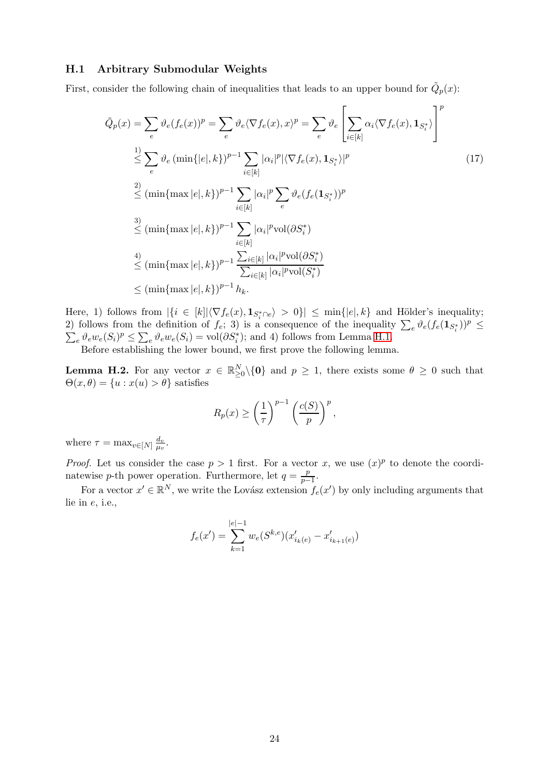#### H.1 Arbitrary Submodular Weights

First, consider the following chain of inequalities that leads to an upper bound for  $\tilde{Q}_p(x)$ :

$$
\tilde{Q}_p(x) = \sum_{e} \vartheta_e(f_e(x))^p = \sum_{e} \vartheta_e \langle \nabla f_e(x), x \rangle^p = \sum_{e} \vartheta_e \left[ \sum_{i \in [k]} \alpha_i \langle \nabla f_e(x), \mathbf{1}_{S_i^*} \rangle \right]^p
$$
\n
$$
\leq \sum_{e} \vartheta_e \left( \min\{|e|, k\} \right)^{p-1} \sum_{i \in [k]} |\alpha_i|^p |\langle \nabla f_e(x), \mathbf{1}_{S_i^*} \rangle|^p
$$
\n
$$
\leq (\min\{ \max |e|, k\})^{p-1} \sum_{i \in [k]} |\alpha_i|^p \sum_{e} \vartheta_e(f_e(\mathbf{1}_{S_i^*}))^p
$$
\n
$$
\leq (\min\{ \max |e|, k\})^{p-1} \sum_{i \in [k]} |\alpha_i|^p \text{vol}(\partial S_i^*)
$$
\n
$$
\leq (\min\{ \max |e|, k\})^{p-1} \frac{\sum_{i \in [k]} |\alpha_i|^p \text{vol}(\partial S_i^*)}{\sum_{i \in [k]} |\alpha_i|^p \text{vol}(S_i^*)}
$$
\n
$$
\leq (\min\{ \max |e|, k\})^{p-1} h_k.
$$
\n(17)

Here, 1) follows from  $|\{i \in [k] | \langle \nabla f_e(x), \mathbf{1}_{S_i^*\cap e} \rangle > 0\}| \le \min\{|e|, k\}$  and Hölder's inequality; 2) follows from the definition of  $f_e$ ; 3) is a consequence of the inequality  $\sum_e \vartheta_e(f_e(\mathbf{1}_{S_i^*}))^p \leq$  $\sum_{e} \vartheta_e w_e(S_i)^p \leq \sum_{e} \vartheta_e w_e(S_i) = \text{vol}(\partial S_i^*)$ ; and 4) follows from Lemma [H.1.](#page-22-0)

Before establishing the lower bound, we first prove the following lemma.

<span id="page-23-0"></span>**Lemma H.2.** For any vector  $x \in \mathbb{R}^N_{\geq 0} \setminus \{0\}$  and  $p \geq 1$ , there exists some  $\theta \geq 0$  such that  $\Theta(x,\theta) = \{u : x(u) > \theta\}$  satisfies

<span id="page-23-1"></span>
$$
R_p(x) \ge \left(\frac{1}{\tau}\right)^{p-1} \left(\frac{c(S)}{p}\right)^p,
$$

where  $\tau = \max_{v \in [N]} \frac{d_v}{\mu_v}$  $\frac{d_v}{\mu_v}.$ 

*Proof.* Let us consider the case  $p > 1$  first. For a vector x, we use  $(x)^p$  to denote the coordinatewise p-th power operation. Furthermore, let  $q = \frac{p}{n-1}$  $\frac{p}{p-1}$ .

For a vector  $x' \in \mathbb{R}^N$ , we write the Lovász extension  $f_e(x')$  by only including arguments that lie in e, i.e.,

$$
f_e(x') = \sum_{k=1}^{|e|-1} w_e(S^{k,e})(x'_{i_k(e)} - x'_{i_{k+1}(e)})
$$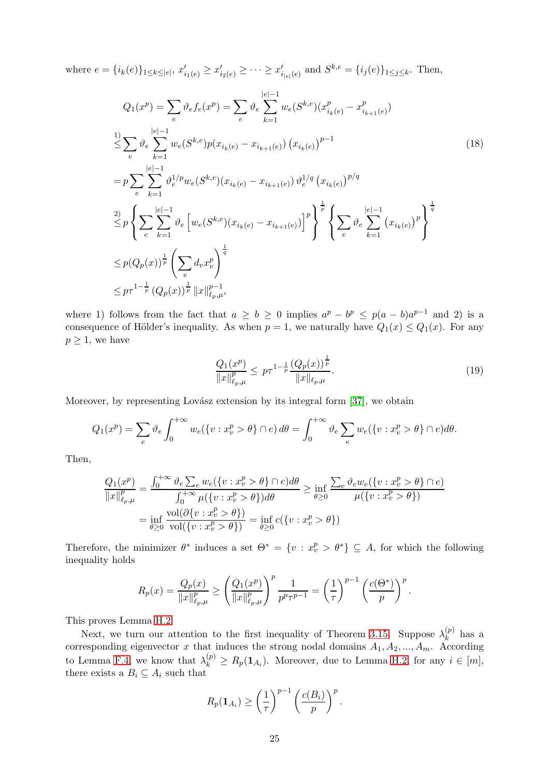where  $e = \{i_k(e)\}_{1 \leq k \leq |e|}, x'_{i_1(e)} \geq x'_{i_2(e)} \geq \cdots \geq x'_{i_{|e|}(e)}$  and  $S^{k,e} = \{i_j(e)\}_{1 \leq j \leq k}$ . Then,

$$
Q_{1}(x^{p}) = \sum_{e} \vartheta_{e} f_{e}(x^{p}) = \sum_{e} \vartheta_{e} \sum_{k=1}^{|e|-1} w_{e}(S^{k,e})(x_{i_{k}(e)}^{p} - x_{i_{k+1}(e)}^{p})
$$
\n
$$
\leq \sum_{e} \vartheta_{e} \sum_{k=1}^{|e|-1} w_{e}(S^{k,e}) p(x_{i_{k}(e)} - x_{i_{k+1}(e)}) (x_{i_{k}(e)})^{p-1}
$$
\n
$$
= p \sum_{e} \sum_{k=1}^{|e|-1} \vartheta_{e}^{1/p} w_{e}(S^{k,e}) (x_{i_{k}(e)} - x_{i_{k+1}(e)}) \vartheta_{e}^{1/q} (x_{i_{k}(e)})^{p/q}
$$
\n
$$
\leq p \left\{ \sum_{e} \sum_{k=1}^{|e|-1} \vartheta_{e} \left[ w_{e}(S^{k,e}) (x_{i_{k}(e)} - x_{i_{k+1}(e)}) \right]^{p} \right\}^{\frac{1}{p}} \left\{ \sum_{e} \vartheta_{e} \sum_{k=1}^{|e|-1} (x_{i_{k}(e)})^{p} \right\}^{\frac{1}{q}}
$$
\n
$$
\leq p (Q_{p}(x))^{\frac{1}{p}} \left( \sum_{v} d_{v} x_{v}^{p} \right)^{\frac{1}{q}}
$$
\n
$$
\leq p \tau^{1-\frac{1}{p}} (Q_{p}(x))^{\frac{1}{p}} ||x||_{\ell_{p},\mu}^{p-1},
$$
\n(18)

where 1) follows from the fact that  $a \geq b \geq 0$  implies  $a^p - b^p \leq p(a-b)a^{p-1}$  and 2) is a consequence of Hölder's inequality. As when  $p = 1$ , we naturally have  $Q_1(x) \leq Q_1(x)$ . For any  $p \geq 1$ , we have

<span id="page-24-1"></span><span id="page-24-0"></span>
$$
\frac{Q_1(x^p)}{\|x\|_{\ell_p,\mu}^p} \le p\tau^{1-\frac{1}{p}} \frac{\left(Q_p(x)\right)^{\frac{1}{p}}}{\|x\|_{\ell_p,\mu}}.
$$
\n(19)

Moreover, by representing Lovász extension by its integral form [\[37\]](#page-15-5), we obtain

$$
Q_1(x^p) = \sum_e \vartheta_e \int_0^{+\infty} w_e(\{v : x_v^p > \theta\} \cap e) d\theta = \int_0^{+\infty} \vartheta_e \sum_e w_e(\{v : x_v^p > \theta\} \cap e) d\theta.
$$

Then,

$$
\frac{Q_1(x^p)}{\|x\|_{\ell_p,\mu}^p} = \frac{\int_0^{+\infty} \vartheta_e \sum_e w_e(\{v : x_v^p > \theta\} \cap e) d\theta}{\int_0^{+\infty} \mu(\{v : x_v^p > \theta\}) d\theta} \ge \inf_{\theta \ge 0} \frac{\sum_e \vartheta_e w_e(\{v : x_v^p > \theta\} \cap e)}{\mu(\{v : x_v^p > \theta\})}
$$
\n
$$
= \inf_{\theta \ge 0} \frac{\text{vol}(\partial\{v : x_v^p > \theta\})}{\text{vol}(\{v : x_v^p > \theta\})} = \inf_{\theta \ge 0} c(\{v : x_v^p > \theta\})
$$

Therefore, the minimizer  $\theta^*$  induces a set  $\Theta^* = \{v : x_v^p > \theta^*\} \subseteq A$ , for which the following inequality holds

$$
R_p(x) = \frac{Q_p(x)}{\|x\|_{\ell_p,\mu}^p} \ge \left(\frac{Q_1(x^p)}{\|x\|_{\ell_p,\mu}^p}\right)^p \frac{1}{p^p \tau^{p-1}} = \left(\frac{1}{\tau}\right)^{p-1} \left(\frac{c(\Theta^*)}{p}\right)^p.
$$

This proves Lemma [H.2.](#page-23-0)

Next, we turn our attention to the first inequality of Theorem [3.15.](#page-8-1) Suppose  $\lambda_k^{(p)}$  $\binom{p}{k}$  has a corresponding eigenvector x that induces the strong nodal domains  $A_1, A_2, ..., A_m$ . According to Lemma [F.4,](#page-19-3) we know that  $\lambda_k^{(p)} \ge R_p(1_{A_i})$ . Moreover, due to Lemma [H.2,](#page-23-0) for any  $i \in [m]$ , there exists a  $B_i \subseteq A_i$  such that

$$
R_p(\mathbf{1}_{A_i}) \geq \left(\frac{1}{\tau}\right)^{p-1} \left(\frac{c(B_i)}{p}\right)^p.
$$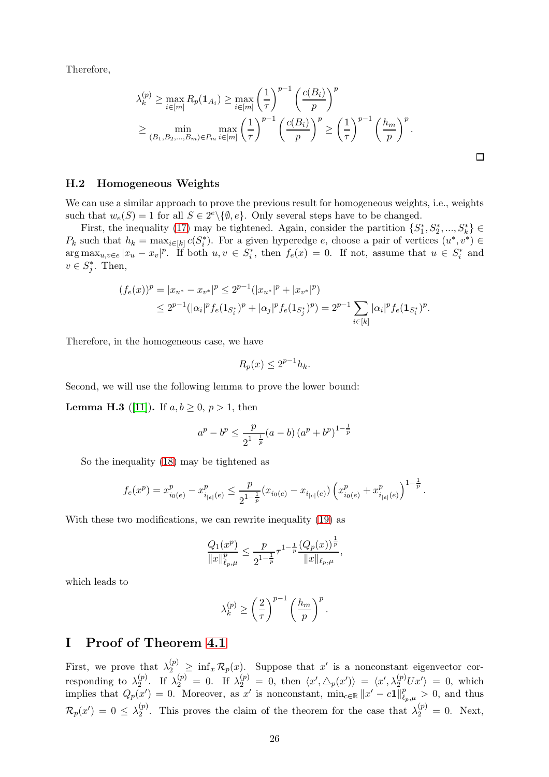Therefore,

$$
\lambda_k^{(p)} \ge \max_{i \in [m]} R_p(\mathbf{1}_{A_i}) \ge \max_{i \in [m]} \left(\frac{1}{\tau}\right)^{p-1} \left(\frac{c(B_i)}{p}\right)^p
$$
  

$$
\ge \min_{(B_1, B_2, \dots, B_m) \in P_m} \max_{i \in [m]} \left(\frac{1}{\tau}\right)^{p-1} \left(\frac{c(B_i)}{p}\right)^p \ge \left(\frac{1}{\tau}\right)^{p-1} \left(\frac{h_m}{p}\right)^p.
$$

#### H.2 Homogeneous Weights

We can use a similar approach to prove the previous result for homogeneous weights, i.e., weights such that  $w_e(S) = 1$  for all  $S \in 2^e \setminus \{ \emptyset, e \}$ . Only several steps have to be changed.

First, the inequality [\(17\)](#page-23-1) may be tightened. Again, consider the partition  $\{S_1^*, S_2^*, ..., S_k^*\} \in$  $P_k$  such that  $h_k = \max_{i \in [k]} c(S_i^*)$ . For a given hyperedge e, choose a pair of vertices  $(u^*, v^*) \in$  $\arg \max_{u,v \in e} |x_u - x_v|^p$ . If both  $u, v \in S_i^*$ , then  $f_e(x) = 0$ . If not, assume that  $u \in S_i^*$  and  $v \in S_j^*$ . Then,

$$
(f_e(x))^p = |x_{u^*} - x_{v^*}|^p \le 2^{p-1}(|x_{u^*}|^p + |x_{v^*}|^p)
$$
  
\n
$$
\le 2^{p-1}(|\alpha_i|^p f_e(1_{S_i^*})^p + |\alpha_j|^p f_e(1_{S_j^*})^p) = 2^{p-1} \sum_{i \in [k]} |\alpha_i|^p f_e(1_{S_i^*})^p.
$$

Therefore, in the homogeneous case, we have

$$
R_p(x) \le 2^{p-1}h_k.
$$

Second, we will use the following lemma to prove the lower bound:

**Lemma H.3** ([\[11\]](#page-13-10)). If  $a, b \ge 0, p > 1$ , then

$$
a^{p} - b^{p} \le \frac{p}{2^{1-\frac{1}{p}}}(a-b) (a^{p} + b^{p})^{1-\frac{1}{p}}
$$

So the inequality [\(18\)](#page-24-0) may be tightened as

$$
f_e(x^p) = x_{i_0(e)}^p - x_{i_{|e|}(e)}^p \le \frac{p}{2^{1-\frac{1}{p}}}(x_{i_0(e)} - x_{i_{|e|}(e)}) \left(x_{i_0(e)}^p + x_{i_{|e|}(e)}^p\right)^{1-\frac{1}{p}}.
$$

With these two modifications, we can rewrite inequality [\(19\)](#page-24-1) as

$$
\frac{Q_1(x^p)}{\|x\|_{\ell_p,\mu}^p} \le \frac{p}{2^{1-\frac{1}{p}}}\tau^{1-\frac{1}{p}}\frac{\left(Q_p(x)\right)^{\frac{1}{p}}}{\|x\|_{\ell_p,\mu}},
$$

which leads to

$$
\lambda_k^{(p)} \ge \left(\frac{2}{\tau}\right)^{p-1} \left(\frac{h_m}{p}\right)^p.
$$

## I Proof of Theorem [4.1](#page-9-0)

First, we prove that  $\lambda_2^{(p)} \geq \inf_x \mathcal{R}_p(x)$ . Suppose that x' is a nonconstant eigenvector corresponding to  $\lambda_2^{(p)}$  $\chi_2^{(p)}$ . If  $\lambda_2^{(p)} = 0$ . If  $\lambda_2^{(p)} = 0$ , then  $\langle x', \triangle_p(x') \rangle = \langle x', \lambda_2^{(p)} U x' \rangle = 0$ , which implies that  $Q_p(x') = 0$ . Moreover, as x' is nonconstant,  $\min_{c \in \mathbb{R}} ||x' - c1||_{\ell_p,\mu}^p > 0$ , and thus  $\mathcal{R}_p(x') \,=\, 0 \,\leq\, \lambda^{(p)}_2$  $\chi_2^{(p)}$ . This proves the claim of the theorem for the case that  $\lambda_2^{(p)} = 0$ . Next,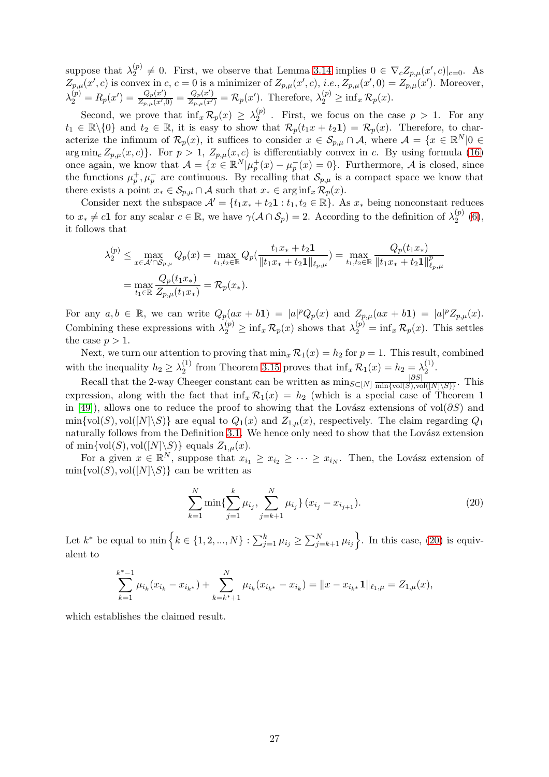suppose that  $\lambda_2^{(p)} \neq 0$ . First, we observe that Lemma [3.14](#page-8-2) implies  $0 \in \nabla_c Z_{p,\mu}(x',c)|_{c=0}$ . As 2  $Z_{p,\mu}(x',c)$  is convex in c,  $c=0$  is a minimizer of  $Z_{p,\mu}(x',c)$ , *i.e.*,  $Z_{p,\mu}(x',0) = Z_{p,\mu}(x')$ . Moreover,  $\lambda_2^{\left(p\right)}=R_p(x^\prime)=\frac{Q_p(x^\prime)}{Z_{p,\mu}(x^\prime)}$  $\frac{Q_p(x')}{Z_{p,\mu}(x',0)} = \frac{Q_p(x')}{Z_{p,\mu}(x')} = \mathcal{R}_p(x')$ . Therefore,  $\lambda_2^{(p)} \ge \inf_x \mathcal{R}_p(x)$ .

Second, we prove that  $\inf_x \mathcal{R}_p(x) \geq \lambda_2^{(p)}$  $2^{(p)}$ . First, we focus on the case  $p > 1$ . For any  $t_1 \in \mathbb{R} \setminus \{0\}$  and  $t_2 \in \mathbb{R}$ , it is easy to show that  $\mathcal{R}_p(t_1x + t_2\mathbf{1}) = \mathcal{R}_p(x)$ . Therefore, to characterize the infimum of  $\mathcal{R}_p(x)$ , it suffices to consider  $x \in \mathcal{S}_{p,\mu} \cap \mathcal{A}$ , where  $\mathcal{A} = \{x \in \mathbb{R}^N | 0 \in$  $\arg \min_{c} Z_{p,\mu}(x, c)$ . For  $p > 1$ ,  $Z_{p,\mu}(x, c)$  is differentiably convex in c. By using formula [\(16\)](#page-22-1) once again, we know that  $\mathcal{A} = \{x \in \mathbb{R}^N | \mu_p^+(x) - \mu_p^-(x) = 0\}$ . Furthermore,  $\mathcal{A}$  is closed, since the functions  $\mu_p^+, \mu_p^-$  are continuous. By recalling that  $\mathcal{S}_{p,\mu}$  is a compact space we know that there exists a point  $x_* \in \mathcal{S}_{p,\mu} \cap \mathcal{A}$  such that  $x_* \in \arginf_x \mathcal{R}_p(x)$ .

Consider next the subspace  $\mathcal{A}' = \{t_1x_* + t_2\mathbf{1} : t_1, t_2 \in \mathbb{R}\}\.$  As  $x_*$  being nonconstant reduces to  $x_* \neq c\mathbf{1}$  for any scalar  $c \in \mathbb{R}$ , we have  $\gamma(\mathcal{A} \cap \mathcal{S}_p) = 2$ . According to the definition of  $\lambda_2^{(p)}$  $2^{(p)}(6),$  $2^{(p)}(6),$  $2^{(p)}(6),$ it follows that

$$
\lambda_2^{(p)} \le \max_{x \in \mathcal{A}' \cap \mathcal{S}_{p,\mu}} Q_p(x) = \max_{t_1, t_2 \in \mathbb{R}} Q_p(\frac{t_1 x_s + t_2 \mathbf{1}}{\|t_1 x_s + t_2 \mathbf{1}\|_{\ell_p,\mu}}) = \max_{t_1, t_2 \in \mathbb{R}} \frac{Q_p(t_1 x_s)}{\|t_1 x_s + t_2 \mathbf{1}\|_{\ell_p,\mu}^p}
$$

$$
= \max_{t_1 \in \mathbb{R}} \frac{Q_p(t_1 x_s)}{Z_{p,\mu}(t_1 x_s)} = \mathcal{R}_p(x_s).
$$

For any  $a, b \in \mathbb{R}$ , we can write  $Q_p(ax + b\mathbf{1}) = |a|^p Q_p(x)$  and  $Z_{p,\mu}(ax + b\mathbf{1}) = |a|^p Z_{p,\mu}(x)$ . Combining these expressions with  $\lambda_2^{(p)} \ge \inf_x \mathcal{R}_p(x)$  shows that  $\lambda_2^{(p)} = \inf_x \mathcal{R}_p(x)$ . This settles the case  $p > 1$ .

Next, we turn our attention to proving that  $\min_x \mathcal{R}_1(x) = h_2$  for  $p = 1$ . This result, combined with the inequality  $h_2 \geq \lambda_2^{(1)}$ <sup>(1)</sup> from Theorem [3.15](#page-8-1) proves that  $\inf_x \mathcal{R}_1(x) = h_2 = \lambda_2^{(1)}$  $\frac{(1)}{2}$ .

Recall that the 2-way Cheeger constant can be written as  $\min_{S \subset [N]} \frac{|\partial S|}{\min \{ \text{vol}(S), \text{vol}(S) \}}$  $\frac{|OS|}{\min\{\text{vol}(S),\text{vol}([N]\setminus S)\}}$ . This expression, along with the fact that  $\inf_x \mathcal{R}_1(x) = h_2$  (which is a special case of Theorem 1 in [\[49\]](#page-15-17)), allows one to reduce the proof to showing that the Lovász extensions of vol(∂S) and  $\min\{\text{vol}(S), \text{vol}([N]\backslash S)\}\$ are equal to  $Q_1(x)$  and  $Z_{1,\mu}(x)$ , respectively. The claim regarding  $Q_1$ naturally follows from the Definition [3.1.](#page-5-2) We hence only need to show that the Lovász extension of min $\{\text{vol}(S), \text{vol}([N]\backslash S)\}\$ equals  $Z_{1,\mu}(x)$ .

For a given  $x \in \mathbb{R}^N$ , suppose that  $x_{i_1} \ge x_{i_2} \ge \cdots \ge x_{i_N}$ . Then, the Lovász extension of  $\min\{\text{vol}(S), \text{vol}([N]\backslash S)\}\)$  can be written as

<span id="page-26-0"></span>
$$
\sum_{k=1}^{N} \min \{ \sum_{j=1}^{k} \mu_{i_j}, \sum_{j=k+1}^{N} \mu_{i_j} \} (x_{i_j} - x_{i_{j+1}}). \tag{20}
$$

Let  $k^*$  be equal to min  $\Big\{ k \in \{1, 2, ..., N\} : \sum_{j=1}^k \mu_{i_j} \geq \sum_{j=k+1}^N \mu_{i_j} \Big\}$ . In this case, [\(20\)](#page-26-0) is equivalent to

$$
\sum_{k=1}^{k^*-1} \mu_{i_k}(x_{i_k} - x_{i_{k^*}}) + \sum_{k=k^*+1}^N \mu_{i_k}(x_{i_{k^*}} - x_{i_k}) = ||x - x_{i_{k^*}} \mathbf{1}||_{\ell_1, \mu} = Z_{1, \mu}(x),
$$

which establishes the claimed result.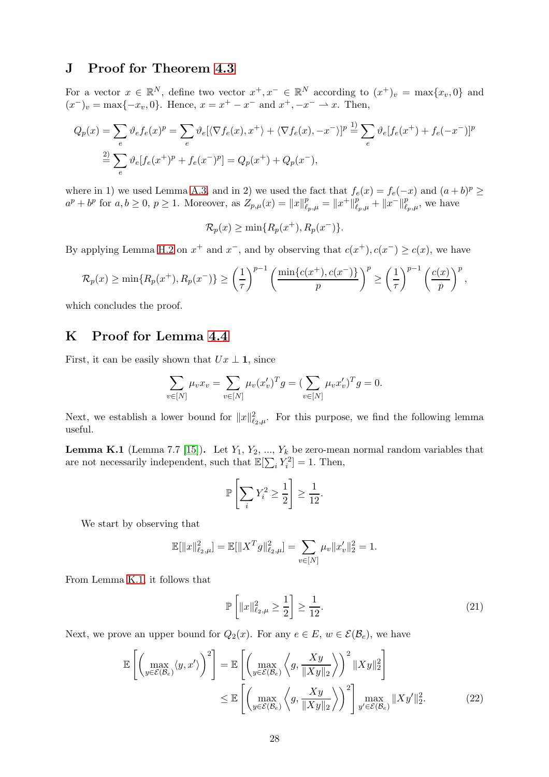# J Proof for Theorem [4.3](#page-9-1)

For a vector  $x \in \mathbb{R}^N$ , define two vector  $x^+, x^- \in \mathbb{R}^N$  according to  $(x^+)_v = \max\{x_v, 0\}$  and  $(x^{-})_v = \max\{-x_v, 0\}$ . Hence,  $x = x^{+} - x^{-}$  and  $x^{+}, -x^{-} \rightarrow x$ . Then,

$$
Q_p(x) = \sum_e \vartheta_e f_e(x)^p = \sum_e \vartheta_e [\langle \nabla f_e(x), x^+ \rangle + \langle \nabla f_e(x), -x^- \rangle]^p \stackrel{1)}{=} \sum_e \vartheta_e [f_e(x^+) + f_e(-x^-)]^p
$$
  

$$
\stackrel{2)}{=} \sum_e \vartheta_e [f_e(x^+)^p + f_e(x^-)^p] = Q_p(x^+) + Q_p(x^-),
$$

where in 1) we used Lemma [A.3,](#page-16-0) and in 2) we used the fact that  $f_e(x) = f_e(-x)$  and  $(a+b)^p \ge$  $a^p + b^p$  for  $a, b \ge 0, p \ge 1$ . Moreover, as  $Z_{p,\mu}(x) = ||x||_{\ell_p,\mu}^p = ||x^+||_{\ell_p,\mu}^p + ||x^-||_{\ell_p,\mu}^p$ , we have

$$
\mathcal{R}_p(x) \ge \min\{R_p(x^+), R_p(x^-)\}.
$$

By applying Lemma [H.2](#page-23-0) on  $x^+$  and  $x^-$ , and by observing that  $c(x^+), c(x^-) \geq c(x)$ , we have

$$
\mathcal{R}_p(x) \ge \min\{R_p(x^+), R_p(x^-)\} \ge \left(\frac{1}{\tau}\right)^{p-1} \left(\frac{\min\{c(x^+), c(x^-)\}}{p}\right)^p \ge \left(\frac{1}{\tau}\right)^{p-1} \left(\frac{c(x)}{p}\right)^p,
$$

which concludes the proof.

## K Proof for Lemma [4.4](#page-10-3)

First, it can be easily shown that  $Ux \perp \mathbf{1}$ , since

$$
\sum_{v \in [N]} \mu_v x_v = \sum_{v \in [N]} \mu_v (x'_v)^T g = (\sum_{v \in [N]} \mu_v x'_v)^T g = 0.
$$

Next, we establish a lower bound for  $||x||_{\ell_2,\mu}^2$ . For this purpose, we find the following lemma useful.

<span id="page-27-0"></span>**Lemma K.1** (Lemma 7.7 [\[15\]](#page-13-14)). Let  $Y_1, Y_2, ..., Y_k$  be zero-mean normal random variables that are not necessarily independent, such that  $\mathbb{E}[\sum_i Y_i^2] = 1$ . Then,

$$
\mathbb{P}\left[\sum_{i} Y_i^2 \ge \frac{1}{2}\right] \ge \frac{1}{12}.
$$

We start by observing that

$$
\mathbb{E}[\|x\|_{\ell_2,\mu}^2] = \mathbb{E}[\|X^T g\|_{\ell_2,\mu}^2] = \sum_{v \in [N]} \mu_v \|x'_v\|_2^2 = 1.
$$

From Lemma [K.1,](#page-27-0) it follows that

<span id="page-27-2"></span><span id="page-27-1"></span>
$$
\mathbb{P}\left[\|x\|_{\ell_2,\mu}^2 \ge \frac{1}{2}\right] \ge \frac{1}{12}.\tag{21}
$$

Next, we prove an upper bound for  $Q_2(x)$ . For any  $e \in E$ ,  $w \in \mathcal{E}(\mathcal{B}_e)$ , we have

$$
\mathbb{E}\left[\left(\max_{y\in\mathcal{E}(B_e)}\langle y,x'\rangle\right)^2\right] = \mathbb{E}\left[\left(\max_{y\in\mathcal{E}(B_e)}\left\langle g,\frac{Xy}{\|Xy\|_2}\right\rangle\right)^2 \|Xy\|_2^2\right] \leq \mathbb{E}\left[\left(\max_{y\in\mathcal{E}(B_e)}\left\langle g,\frac{Xy}{\|Xy\|_2}\right\rangle\right)^2\right] \max_{y'\in\mathcal{E}(B_e)}\|Xy'\|_2^2.
$$
\n(22)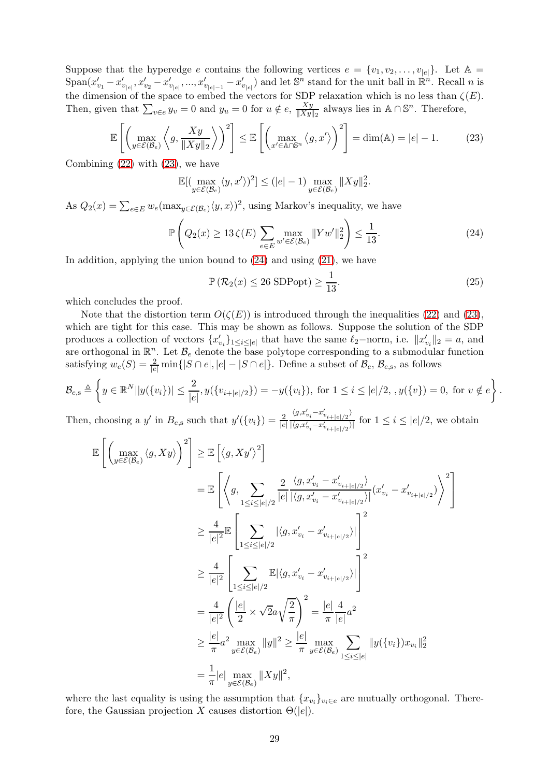Suppose that the hyperedge e contains the following vertices  $e = \{v_1, v_2, \ldots, v_{|e|}\}.$  Let  $\mathbb{A} =$  $\text{Span}(x'_{v_1}-x'_{v_{|e|}},x'_{v_2}-x'_{v_{|e|}},...,x'_{v_{|e|-1}}-x'_{v_{|e|}})$  and let  $\mathbb{S}^n$  stand for the unit ball in  $\mathbb{R}^n$ . Recall n is the dimension of the space to embed the vectors for SDP relaxation which is no less than  $\zeta(E)$ . Then, given that  $\sum_{v \in e} y_v = 0$  and  $y_u = 0$  for  $u \notin e$ ,  $\frac{Xy}{\|Xy\|}$  $\frac{Xy}{\|Xy\|_2}$  always lies in A∩S<sup>n</sup>. Therefore,

$$
\mathbb{E}\left[\left(\max_{y\in\mathcal{E}(\mathcal{B}_e)}\left\langle g,\frac{Xy}{\|Xy\|_2}\right\rangle\right)^2\right] \leq \mathbb{E}\left[\left(\max_{x'\in\mathbb{A}\cap\mathbb{S}^n}\left\langle g,x'\right\rangle\right)^2\right] = \dim(\mathbb{A}) = |e| - 1. \tag{23}
$$

Combining [\(22\)](#page-27-1) with [\(23\)](#page-28-0), we have

<span id="page-28-0"></span>
$$
\mathbb{E}[(\max_{y \in \mathcal{E}(\mathcal{B}_e)} \langle y, x' \rangle)^2] \le (|e| - 1) \max_{y \in \mathcal{E}(\mathcal{B}_e)} \|Xy\|_2^2.
$$

As  $Q_2(x) = \sum_{e \in E} w_e(\max_{y \in \mathcal{E}(\mathcal{B}_e)} \langle y, x \rangle)^2$ , using Markov's inequality, we have

$$
\mathbb{P}\left(Q_2(x) \ge 13\,\zeta(E) \sum_{e \in E} \max_{w' \in \mathcal{E}(\mathcal{B}_e)} \|Yw'\|_2^2\right) \le \frac{1}{13}.\tag{24}
$$

In addition, applying the union bound to  $(24)$  and using  $(21)$ , we have

<span id="page-28-1"></span>
$$
\mathbb{P}\left(\mathcal{R}_2(x) \le 26 \text{ SDPopt}\right) \ge \frac{1}{13}.\tag{25}
$$

which concludes the proof.

Note that the distortion term  $O(\zeta(E))$  is introduced through the inequalities [\(22\)](#page-27-1) and [\(23\)](#page-28-0), which are tight for this case. This may be shown as follows. Suppose the solution of the SDP produces a collection of vectors  $\{x'_{v_i}\}_{1 \leq i \leq |e|}$  that have the same  $\ell_2$ -norm, i.e.  $||x'_{v_i}||_2 = a$ , and are orthogonal in  $\mathbb{R}^n$ . Let  $\mathcal{B}_e$  denote the base polytope corresponding to a submodular function satisfying  $w_e(S) = \frac{2}{|e|} \min\{|S \cap e|, |e| - |S \cap e|\}.$  Define a subset of  $\mathcal{B}_e$ ,  $\mathcal{B}_{e, s}$ , as follows

$$
\mathcal{B}_{e,s} \triangleq \left\{ y \in \mathbb{R}^N | |y(\{v_i\})| \leq \frac{2}{|e|}, y(\{v_{i+|e|/2}\}) = -y(\{v_i\}), \text{ for } 1 \leq i \leq |e|/2, \ y(\{v\}) = 0, \text{ for } v \notin e \right\}.
$$

Then, choosing a y' in  $B_{e,s}$  such that  $y'(\lbrace v_i \rbrace) = \frac{2}{|e|}$  $\langle g_{,x_{v_i}\cdots x_{v_{i+|e|/2}}}' \rangle$  $\frac{|\mathcal{L}_i - \mathcal{L}_i|}{|\langle g, x'_{v_i} - x'_{v_{i+|e|/2}} \rangle|}$  for  $1 \leq i \leq |e|/2$ , we obtain

$$
\mathbb{E}\left[\left(\max_{y\in\mathcal{E}(B_e)}\langle g, Xy\rangle\right)^2\right] \geq \mathbb{E}\left[\left\langle g, Xy'\right\rangle^2\right]
$$
\n
$$
= \mathbb{E}\left[\left\langle g, \sum_{1\leq i\leq |e|/2} \frac{2}{|e|} \frac{\langle g, x'_{v_i} - x'_{v_{i+|e|/2}}\rangle}{\left|\langle g, x'_{v_i} - x'_{v_{i+|e|/2}}\rangle\right|} (x'_{v_i} - x'_{v_{i+|e|/2}})\right\rangle^2\right]
$$
\n
$$
\geq \frac{4}{|e|^2} \mathbb{E}\left[\sum_{1\leq i\leq |e|/2} |\langle g, x'_{v_i} - x'_{v_{i+|e|/2}}\rangle|\right]^2
$$
\n
$$
\geq \frac{4}{|e|^2} \left[\sum_{1\leq i\leq |e|/2} \mathbb{E}|\langle g, x'_{v_i} - x'_{v_{i+|e|/2}}\rangle|\right]^2
$$
\n
$$
= \frac{4}{|e|^2} \left(\frac{|e|}{2} \times \sqrt{2}a\sqrt{\frac{2}{\pi}}\right)^2 = \frac{|e|}{\pi} \frac{4}{|e|} a^2
$$
\n
$$
\geq \frac{|e|}{\pi} a^2 \max_{y\in\mathcal{E}(B_e)} \|y\|^2 \geq \frac{|e|}{\pi} \max_{y\in\mathcal{E}(B_e)} \sum_{1\leq i\leq |e|} \|y(\{v_i\})x_{v_i}\|_2^2
$$
\n
$$
= \frac{1}{\pi} |e| \max_{y\in\mathcal{E}(B_e)} \|Xy\|^2,
$$

where the last equality is using the assumption that  $\{x_{v_i}\}_{v_i \in e}$  are mutually orthogonal. Therefore, the Gaussian projection X causes distortion  $\Theta(|e|)$ .